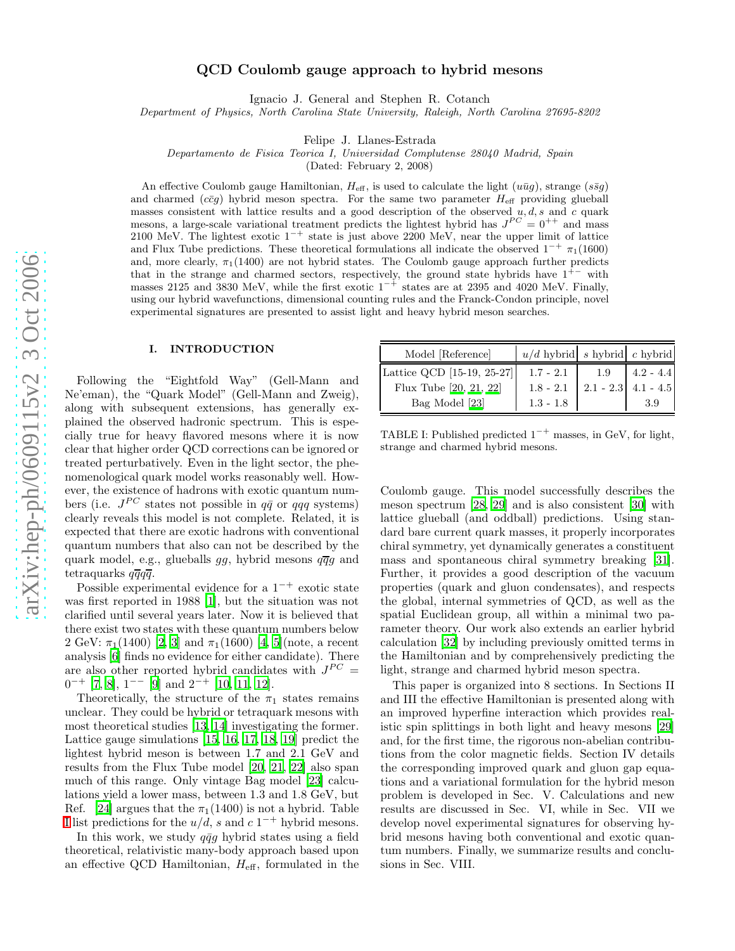# QCD Coulomb gauge approach to hybrid mesons

Ignacio J. General and Stephen R. Cotanch

Department of Physics, North Carolina State University, Raleigh, North Carolina 27695-8202

Felipe J. Llanes-Estrada

Departamento de Fisica Teorica I, Universidad Complutense 28040 Madrid, Spain

(Dated: February 2, 2008)

An effective Coulomb gauge Hamiltonian,  $H_{\text{eff}}$ , is used to calculate the light  $(u\bar{u}g)$ , strange  $(s\bar{s}g)$ and charmed  $(c\bar{c}g)$  hybrid meson spectra. For the same two parameter  $H_{\text{eff}}$  providing glueball masses consistent with lattice results and a good description of the observed  $u, d, s$  and c quark mesons, a large-scale variational treatment predicts the lightest hybrid has  $J^{PC} = 0^{++}$  and mass 2100 MeV. The lightest exotic  $1^{-+}$  state is just above 2200 MeV, near the upper limit of lattice and Flux Tube predictions. These theoretical formulations all indicate the observed  $1^{-+}$   $\pi_1(1600)$ and, more clearly,  $\pi_1(1400)$  are not hybrid states. The Coulomb gauge approach further predicts that in the strange and charmed sectors, respectively, the ground state hybrids have  $1^{+-}$  with masses 2125 and 3830 MeV, while the first exotic  $1^{-+}$  states are at 2395 and 4020 MeV. Finally, using our hybrid wavefunctions, dimensional counting rules and the Franck-Condon principle, novel experimental signatures are presented to assist light and heavy hybrid meson searches.

### I. INTRODUCTION

Following the "Eightfold Way" (Gell-Mann and Ne'eman), the "Quark Model" (Gell-Mann and Zweig), along with subsequent extensions, has generally explained the observed hadronic spectrum. This is especially true for heavy flavored mesons where it is now clear that higher order QCD corrections can be ignored or treated perturbatively. Even in the light sector, the phenomenological quark model works reasonably well. However, the existence of hadrons with exotic quantum numbers (i.e.  $J^{PC}$  states not possible in  $q\bar{q}$  or  $qqq$  systems) clearly reveals this model is not complete. Related, it is expected that there are exotic hadrons with conventional quantum numbers that also can not be described by the quark model, e.g., glueballs  $gg$ , hybrid mesons  $q\overline{q}g$  and tetraquarks  $q\overline{q}q\overline{q}$ .

Possible experimental evidence for a  $1^{-+}$  exotic state was first reported in 1988 [\[1](#page-11-0)], but the situation was not clarified until several years later. Now it is believed that there exist two states with these quantum numbers below 2 GeV:  $\pi_1(1400)$  [\[2,](#page-11-1) [3\]](#page-11-2) and  $\pi_1(1600)$  [\[4](#page-11-3), [5](#page-11-4)](note, a recent analysis [\[6](#page-11-5)] finds no evidence for either candidate). There are also other reported hybrid candidates with  $J^{PC} =$  $0^{-+}$  [\[7,](#page-11-6) [8\]](#page-11-7),  $1^{--}$  [\[9\]](#page-11-8) and  $2^{-+}$  [\[10](#page-11-9), [11](#page-11-10), [12](#page-11-11)].

Theoretically, the structure of the  $\pi_1$  states remains unclear. They could be hybrid or tetraquark mesons with most theoretical studies [\[13](#page-11-12), [14\]](#page-11-13) investigating the former . Lattice gauge simulations [\[15](#page-11-14), [16](#page-11-15), [17](#page-11-16), [18](#page-11-17), [19\]](#page-11-18) predict the lightest hybrid meson is between 1.7 and 2.1 GeV and results from the Flux Tube model [\[20,](#page-11-19) [21,](#page-11-20) [22](#page-11-21)] also span much of this range. Only vintage Bag model [\[23](#page-11-22)] calculations yield a lower mass, between 1.3 and 1.8 GeV, but Ref. [\[24](#page-11-23)] argues that the  $\pi_1(1400)$  is not a hybrid. Table [I](#page-0-0) list predictions for the  $u/d$ , s and  $c1^{-+}$  hybrid mesons.

In this work, we study  $q\bar{q}g$  hybrid states using a field theoretical, relativistic many-body approach based upon an effective QCD Hamiltonian,  $H_{\text{eff}}$ , formulated in the

| Model [Reference]          | $u/d$ hybrid s hybrid c hybrid |     |                       |
|----------------------------|--------------------------------|-----|-----------------------|
| Lattice QCD [15-19, 25-27] | $1.7 - 2.1$                    | 1.9 | $4.2 - 4.4$           |
| Flux Tube [20, 21, 22]     | $1.8 - 2.1$                    |     | $2.1 - 2.3$ 4.1 - 4.5 |
| Bag Model [23]             | $1.3 - 1.8$                    |     | 3.9                   |

<span id="page-0-0"></span>TABLE I: Published predicted  $1^{-+}$  masses, in GeV, for light, strange and charmed hybrid mesons.

Coulomb gauge. This model successfully describes the meson spectrum [\[28](#page-11-24), [29\]](#page-11-25) and is also consistent [\[30\]](#page-11-26) with lattice glueball (and oddball) predictions. Using standard bare current quark masses, it properly incorporates chiral symmetry, yet dynamically generates a constituent mass and spontaneous chiral symmetry breaking [\[31\]](#page-11-27). Further, it provides a good description of the vacuum properties (quark and gluon condensates), and respects the global, internal symmetries of QCD, as well as the spatial Euclidean group, all within a minimal two parameter theory. Our work also extends an earlier hybrid calculation [\[32\]](#page-11-28) by including previously omitted terms in the Hamiltonian and by comprehensively predicting the light, strange and charmed hybrid meson spectra.

This paper is organized into 8 sections. In Sections II and III the effective Hamiltonian is presented along with an improved hyperfine interaction which provides realistic spin splittings in both light and heavy mesons [\[29](#page-11-25)] and, for the first time, the rigorous non-abelian contributions from the color magnetic fields. Section IV details the corresponding improved quark and gluon gap equations and a variational formulation for the hybrid meson problem is developed in Sec. V. Calculations and new results are discussed in Sec. VI, while in Sec. VII we develop novel experimental signatures for observing hybrid mesons having both conventional and exotic quantum numbers. Finally, we summarize results and conclusions in Sec. VIII.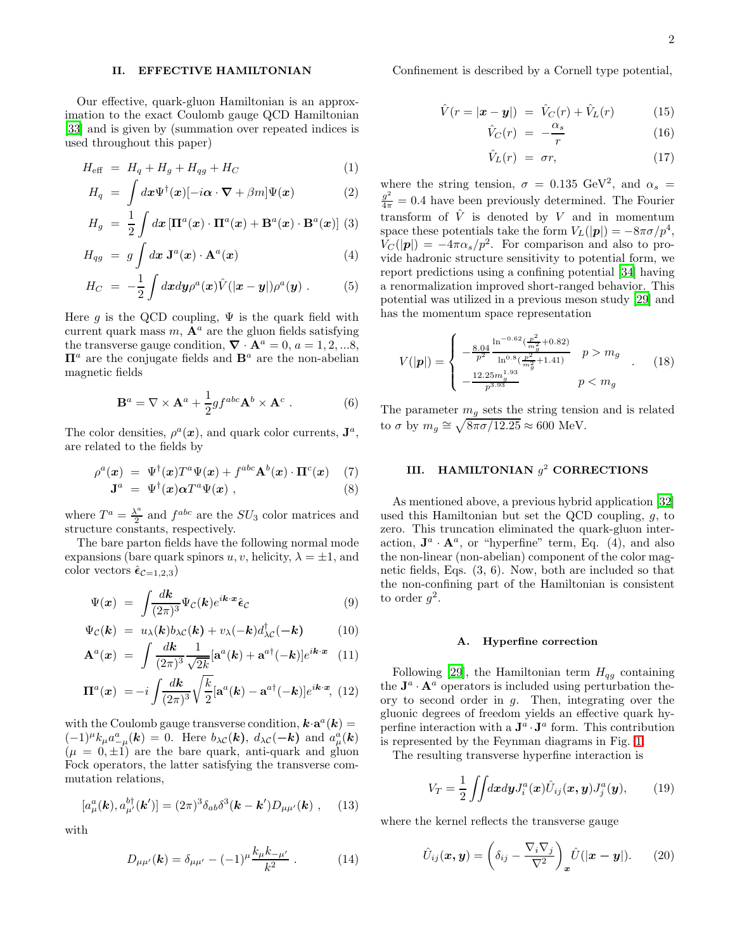# II. EFFECTIVE HAMILTONIAN

Our effective, quark-gluon Hamiltonian is an approximation to the exact Coulomb gauge QCD Hamiltonian [\[33\]](#page-11-29) and is given by (summation over repeated indices is used throughout this paper)

$$
H_{\text{eff}} = H_q + H_g + H_{qg} + H_C \tag{1}
$$

$$
H_q = \int dx \Psi^{\dagger}(\boldsymbol{x})[-i\boldsymbol{\alpha} \cdot \boldsymbol{\nabla} + \beta m] \Psi(\boldsymbol{x}) \qquad (2)
$$

$$
H_g = \frac{1}{2} \int d\boldsymbol{x} \left[ \boldsymbol{\Pi}^a(\boldsymbol{x}) \cdot \boldsymbol{\Pi}^a(\boldsymbol{x}) + \mathbf{B}^a(\boldsymbol{x}) \cdot \mathbf{B}^a(\boldsymbol{x}) \right] (3)
$$

$$
H_{qg} = g \int d\boldsymbol{x} \ \mathbf{J}^a(\boldsymbol{x}) \cdot \mathbf{A}^a(\boldsymbol{x}) \tag{4}
$$

$$
H_C = -\frac{1}{2} \int dx dy \rho^a(x) \hat{V}(|x-y|) \rho^a(y) . \qquad (5)
$$

Here g is the QCD coupling,  $\Psi$  is the quark field with current quark mass  $m$ ,  $\mathbf{A}^a$  are the gluon fields satisfying the transverse gauge condition,  $\nabla \cdot \mathbf{A}^a = 0$ ,  $a = 1, 2, ...8$ ,  $\Pi^a$  are the conjugate fields and  $B^a$  are the non-abelian magnetic fields

$$
\mathbf{B}^a = \nabla \times \mathbf{A}^a + \frac{1}{2}gf^{abc}\mathbf{A}^b \times \mathbf{A}^c . \tag{6}
$$

The color densities,  $\rho^a(x)$ , and quark color currents,  $J^a$ , are related to the fields by

$$
\rho^{a}(\boldsymbol{x}) = \Psi^{\dagger}(\boldsymbol{x}) T^{a} \Psi(\boldsymbol{x}) + f^{abc} \mathbf{A}^{b}(\boldsymbol{x}) \cdot \mathbf{\Pi}^{c}(\boldsymbol{x}) \quad (7)
$$

$$
\mathbf{J}^{a} = \Psi^{\dagger}(\boldsymbol{x}) \alpha T^{a} \Psi(\boldsymbol{x}) , \qquad (8)
$$

where  $T^a = \frac{\lambda^a}{2}$  $\frac{\Lambda^a}{2}$  and  $f^{abc}$  are the  $SU_3$  color matrices and structure constants, respectively.

The bare parton fields have the following normal mode expansions (bare quark spinors u, v, helicity,  $\lambda = \pm 1$ , and color vectors  $\hat{\epsilon}_{\mathcal{C}=1,2,3}$ 

$$
\Psi(x) = \int \frac{dk}{(2\pi)^3} \Psi_C(k) e^{ik \cdot x} \hat{\epsilon}_C \tag{9}
$$

$$
\Psi_{\mathcal{C}}(\mathbf{k}) = u_{\lambda}(\mathbf{k})b_{\lambda\mathcal{C}}(\mathbf{k}) + v_{\lambda}(-\mathbf{k})d_{\lambda\mathcal{C}}^{\dagger}(-\mathbf{k}) \tag{10}
$$

$$
\mathbf{A}^{a}(\boldsymbol{x}) = \int \frac{d\boldsymbol{k}}{(2\pi)^{3}} \frac{1}{\sqrt{2k}} [\mathbf{a}^{a}(\boldsymbol{k}) + \mathbf{a}^{a\dagger}(-\boldsymbol{k})] e^{i\boldsymbol{k}\cdot\boldsymbol{x}} \quad (11)
$$

$$
\mathbf{\Pi}^{a}(\boldsymbol{x}) = -i \int \frac{d\boldsymbol{k}}{(2\pi)^{3}} \sqrt{\frac{k}{2}} [\mathbf{a}^{a}(\boldsymbol{k}) - \mathbf{a}^{a\dagger}(-\boldsymbol{k})] e^{i\boldsymbol{k}\cdot\boldsymbol{x}}, \tag{12}
$$

with the Coulomb gauge transverse condition,  $\mathbf{k} \cdot \mathbf{a}^a(\mathbf{k}) =$  $(-1)^{\mu}k_{\mu}a_{-\mu}^{a}(\boldsymbol{k})=0.$  Here  $b_{\lambda}c(\boldsymbol{k}), d_{\lambda}c(-\boldsymbol{k})$  and  $a_{\mu}^{a}(\boldsymbol{k})$  $(\mu = 0, \pm 1)$  are the bare quark, anti-quark and gluon Fock operators, the latter satisfying the transverse commutation relations,

$$
[a_{\mu}^{a}(\boldsymbol{k}), a_{\mu'}^{b\dagger}(\boldsymbol{k}')] = (2\pi)^{3} \delta_{ab} \delta^{3}(\boldsymbol{k} - \boldsymbol{k}') D_{\mu\mu'}(\boldsymbol{k}) , \quad (13)
$$

with

$$
D_{\mu\mu'}(\mathbf{k}) = \delta_{\mu\mu'} - (-1)^{\mu} \frac{k_{\mu}k_{-\mu'}}{k^2} . \tag{14}
$$

<span id="page-1-0"></span>Confinement is described by a Cornell type potential,

$$
\hat{V}(r = |\boldsymbol{x} - \boldsymbol{y}|) = \hat{V}_C(r) + \hat{V}_L(r) \tag{15}
$$

$$
\hat{V}_C(r) = -\frac{\alpha_s}{r} \tag{16}
$$

$$
\hat{V}_L(r) = \sigma r,\tag{17}
$$

where the string tension,  $\sigma = 0.135 \text{ GeV}^2$ , and  $\alpha_s =$  $\frac{g^2}{4\pi} = 0.4$  have been previously determined. The Fourier transform of  $\hat{V}$  is denoted by V and in momentum space these potentials take the form  $V_L(|p|) = -8\pi\sigma/p^4$ ,  $V_C(|p|) = -4\pi\alpha_s/p^2$ . For comparison and also to provide hadronic structure sensitivity to potential form, we report predictions using a confining potential [\[34\]](#page-11-30) having a renormalization improved short-ranged behavior. This potential was utilized in a previous meson study [\[29](#page-11-25)] and has the momentum space representation

<span id="page-1-1"></span>
$$
V(|p|) = \begin{cases} -\frac{8.04}{p^2} \frac{\ln^{-0.62}(\frac{p^2}{m_g^2} + 0.82)}{\ln^{0.8}(\frac{p^2}{m_g^2} + 1.41)} & p > m_g\\ -\frac{12.25 m_g^{1.93}}{p^{3.93}} & p < m_g \end{cases} \tag{18}
$$

The parameter  $m<sub>g</sub>$  sets the string tension and is related to  $\sigma$  by  $m_g \approx \sqrt{8\pi\sigma/12.25} \approx 600$  MeV.

# III. HAMILTONIAN  $g^2$  CORRECTIONS

As mentioned above, a previous hybrid application [\[32](#page-11-28)] used this Hamiltonian but set the QCD coupling, g, to zero. This truncation eliminated the quark-gluon interaction,  $\mathbf{J}^a \cdot \mathbf{A}^a$ , or "hyperfine" term, Eq. (4), and also the non-linear (non-abelian) component of the color magnetic fields, Eqs. (3, 6). Now, both are included so that the non-confining part of the Hamiltonian is consistent to order  $g^2$ .

### A. Hyperfine correction

Following [\[29](#page-11-25)], the Hamiltonian term  $H_{qg}$  containing the  $\mathbf{J}^a \cdot \mathbf{A}^a$  operators is included using perturbation theory to second order in g. Then, integrating over the gluonic degrees of freedom yields an effective quark hyperfine interaction with a  $\mathbf{J}^a \cdot \mathbf{J}^a$  form. This contribution is represented by the Feynman diagrams in Fig. [1.](#page-2-0)

The resulting transverse hyperfine interaction is

$$
V_T = \frac{1}{2} \iint dx dy J_i^a(\boldsymbol{x}) \hat{U}_{ij}(\boldsymbol{x}, \boldsymbol{y}) J_j^a(\boldsymbol{y}), \qquad (19)
$$

where the kernel reflects the transverse gauge

$$
\hat{U}_{ij}(\boldsymbol{x}, \boldsymbol{y}) = \left(\delta_{ij} - \frac{\nabla_i \nabla_j}{\nabla^2}\right)_{\boldsymbol{x}} \hat{U}(|\boldsymbol{x} - \boldsymbol{y}|). \qquad (20)
$$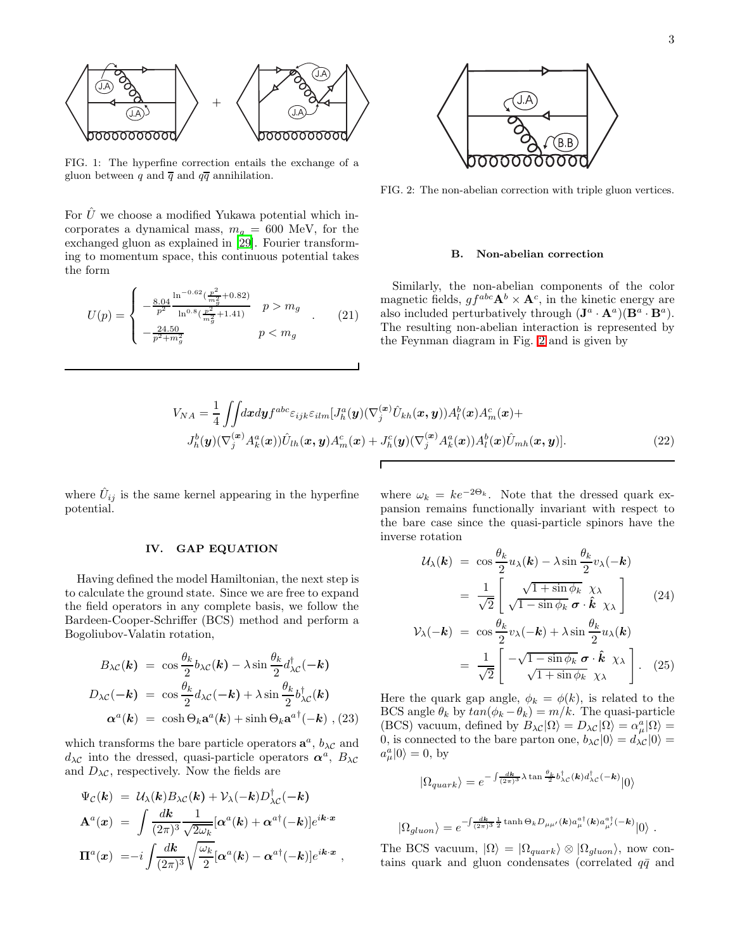

<span id="page-2-0"></span>FIG. 1: The hyperfine correction entails the exchange of a gluon between q and  $\overline{q}$  and  $q\overline{q}$  annihilation.

For  $\hat{U}$  we choose a modified Yukawa potential which incorporates a dynamical mass,  $m<sub>g</sub> = 600$  MeV, for the exchanged gluon as explained in [\[29](#page-11-25)]. Fourier transforming to momentum space, this continuous potential takes the form

$$
U(p) = \begin{cases} -\frac{8.04}{p^2} \frac{\ln^{-0.62}(\frac{p^2}{m_g^2} + 0.82)}{\ln^{0.8}(\frac{p^2}{m_g^2} + 1.41)} & p > m_g \\ -\frac{24.50}{p^2 + m_g^2} & p < m_g \end{cases}
$$
 (21)



<span id="page-2-1"></span>FIG. 2: The non-abelian correction with triple gluon vertices.

#### B. Non-abelian correction

Similarly, the non-abelian components of the color magnetic fields,  $gf^{abc} \mathbf{A}^b \times \mathbf{A}^c$ , in the kinetic energy are also included perturbatively through  $(\mathbf{J}^a \cdot \mathbf{A}^a)(\mathbf{B}^a \cdot \mathbf{B}^a)$ . The resulting non-abelian interaction is represented by the Feynman diagram in Fig. [2](#page-2-1) and is given by

$$
V_{NA} = \frac{1}{4} \iint dx dy f^{abc} \varepsilon_{ijk} \varepsilon_{ilm} [J_h^a(\mathbf{y}) (\nabla_j^{(\mathbf{x})} \hat{U}_{kh}(\mathbf{x}, \mathbf{y})) A_l^b(\mathbf{x}) A_m^c(\mathbf{x}) +
$$
  
\n
$$
J_h^b(\mathbf{y}) (\nabla_j^{(\mathbf{x})} A_k^a(\mathbf{x})) \hat{U}_{lh}(\mathbf{x}, \mathbf{y}) A_m^c(\mathbf{x}) + J_h^c(\mathbf{y}) (\nabla_j^{(\mathbf{x})} A_k^a(\mathbf{x})) A_l^b(\mathbf{x}) \hat{U}_{mh}(\mathbf{x}, \mathbf{y})].
$$
\n(22)

where  $\hat{U}_{ij}$  is the same kernel appearing in the hyperfine potential.

## IV. GAP EQUATION

Having defined the model Hamiltonian, the next step is to calculate the ground state. Since we are free to expand the field operators in any complete basis, we follow the Bardeen-Cooper-Schriffer (BCS) method and perform a Bogoliubov-Valatin rotation,

$$
B_{\lambda C}(\mathbf{k}) = \cos \frac{\theta_k}{2} b_{\lambda C}(\mathbf{k}) - \lambda \sin \frac{\theta_k}{2} d_{\lambda C}^{\dagger}(-\mathbf{k})
$$
  

$$
D_{\lambda C}(-\mathbf{k}) = \cos \frac{\theta_k}{2} d_{\lambda C}(-\mathbf{k}) + \lambda \sin \frac{\theta_k}{2} b_{\lambda C}^{\dagger}(\mathbf{k})
$$
  

$$
\alpha^a(\mathbf{k}) = \cosh \Theta_k \mathbf{a}^a(\mathbf{k}) + \sinh \Theta_k \mathbf{a}^{a \dagger}(-\mathbf{k}) , (23)
$$

which transforms the bare particle operators  $\mathbf{a}^a$ ,  $b_{\lambda}c$  and  $d_{\lambda}c$  into the dressed, quasi-particle operators  $\alpha^a$ ,  $B_{\lambda}c$ and  $D_{\lambda}c$ , respectively. Now the fields are

$$
\Psi_{\mathcal{C}}(\mathbf{k}) = \mathcal{U}_{\lambda}(\mathbf{k})B_{\lambda\mathcal{C}}(\mathbf{k}) + \mathcal{V}_{\lambda}(-\mathbf{k})D_{\lambda\mathcal{C}}^{\dagger}(-\mathbf{k}) \n\mathbf{A}^{a}(\mathbf{x}) = \int \frac{d\mathbf{k}}{(2\pi)^{3}} \frac{1}{\sqrt{2\omega_{k}}} [\alpha^{a}(\mathbf{k}) + \alpha^{a\dagger}(-\mathbf{k})]e^{i\mathbf{k}\cdot\mathbf{x}} \n\Pi^{a}(\mathbf{x}) = -i \int \frac{d\mathbf{k}}{(2\pi)^{3}} \sqrt{\frac{\omega_{k}}{2}} [\alpha^{a}(\mathbf{k}) - \alpha^{a\dagger}(-\mathbf{k})]e^{i\mathbf{k}\cdot\mathbf{x}} ,
$$

where  $\omega_k = ke^{-2\Theta_k}$ . Note that the dressed quark expansion remains functionally invariant with respect to the bare case since the quasi-particle spinors have the inverse rotation

$$
\mathcal{U}_{\lambda}(\mathbf{k}) = \cos \frac{\theta_k}{2} u_{\lambda}(\mathbf{k}) - \lambda \sin \frac{\theta_k}{2} v_{\lambda}(-\mathbf{k})
$$

$$
= \frac{1}{\sqrt{2}} \begin{bmatrix} \sqrt{1 + \sin \phi_k} & \chi_{\lambda} \\ \sqrt{1 - \sin \phi_k} & \sigma \cdot \hat{\mathbf{k}} & \chi_{\lambda} \end{bmatrix}
$$
(24)

$$
\mathcal{V}_{\lambda}(-\mathbf{k}) = \cos \frac{\theta_k}{2} v_{\lambda}(-\mathbf{k}) + \lambda \sin \frac{\theta_k}{2} u_{\lambda}(\mathbf{k})
$$

$$
= \frac{1}{\sqrt{2}} \left[ -\sqrt{1 - \sin \phi_k} \, \boldsymbol{\sigma} \cdot \hat{\mathbf{k}} \, \chi_{\lambda} \right]. \quad (25)
$$

Here the quark gap angle,  $\phi_k = \phi(k)$ , is related to the BCS angle  $\theta_k$  by  $tan(\phi_k - \theta_k) = m/k$ . The quasi-particle (BCS) vacuum, defined by  $B_{\lambda\mathcal{C}}|\Omega\rangle = D_{\lambda\mathcal{C}}|\Omega\rangle = \alpha_\mu^a|\Omega\rangle =$ 0, is connected to the bare parton one,  $b_{\lambda\mathcal{C}}|0\rangle = d_{\lambda\mathcal{C}}|0\rangle =$  $a_\mu^a|0\rangle = 0$ , by

$$
|\Omega_{quark}\rangle = e^{-\int \frac{dk}{(2\pi)^3} \lambda \tan \frac{\theta_k}{2} b_{\lambda C}^{\dagger}(\mathbf{k}) d_{\lambda C}^{\dagger}(-\mathbf{k})} |0\rangle
$$

$$
|\Omega_{gluon}\rangle = e^{-\int \frac{d\mathbf{k}}{(2\pi)^3} \frac{1}{2} \tanh \Theta_k D_{\mu\mu'}(\mathbf{k}) a_{\mu}^{a\dagger}(\mathbf{k}) a_{\mu'}^{a\dagger}(-\mathbf{k})} |0\rangle.
$$

The BCS vacuum,  $|\Omega\rangle = |\Omega_{quark}\rangle \otimes |\Omega_{gluon}\rangle$ , now contains quark and gluon condensates (correlated  $q\bar{q}$  and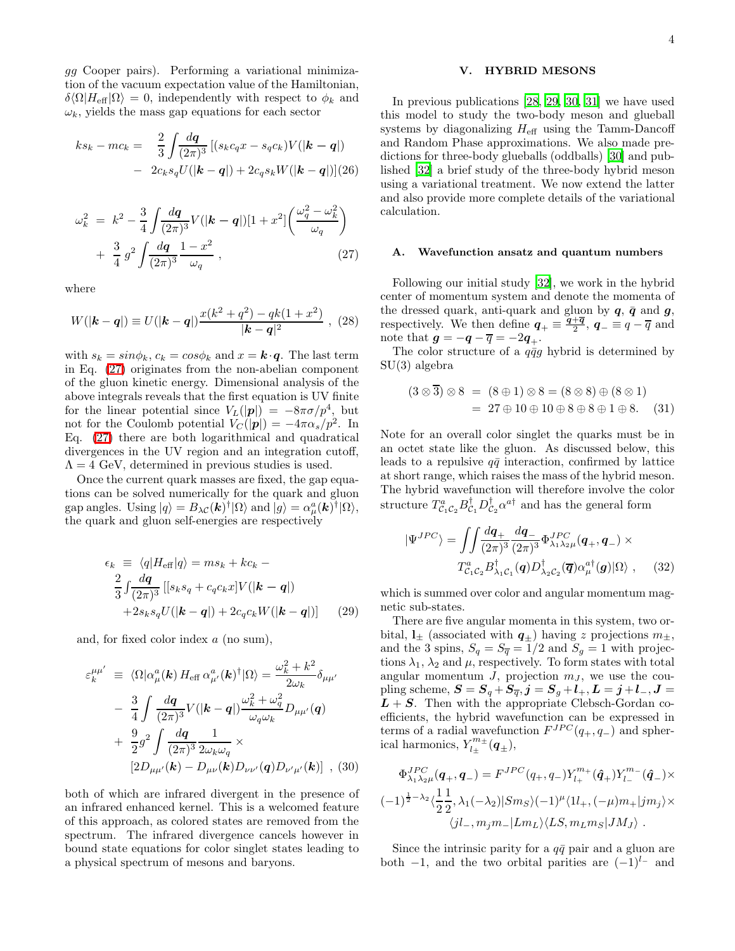gg Cooper pairs). Performing a variational minimization of the vacuum expectation value of the Hamiltonian,  $\delta\langle\Omega|H_{\text{eff}}|\Omega\rangle = 0$ , independently with respect to  $\phi_k$  and  $\omega_k$ , yields the mass gap equations for each sector

$$
ks_k - mc_k = \frac{2}{3} \int \frac{d\mathbf{q}}{(2\pi)^3} \left[ (s_k c_q x - s_q c_k) V(|\mathbf{k} - \mathbf{q}|) - 2c_k s_q U(|\mathbf{k} - \mathbf{q}|) + 2c_q s_k W(|\mathbf{k} - \mathbf{q}|) \right] (26)
$$

<span id="page-3-0"></span>
$$
\omega_k^2 = k^2 - \frac{3}{4} \int \frac{dq}{(2\pi)^3} V(|\mathbf{k} - \mathbf{q}|) [1 + x^2] \left( \frac{\omega_q^2 - \omega_k^2}{\omega_q} \right) + \frac{3}{4} g^2 \int \frac{dq}{(2\pi)^3} \frac{1 - x^2}{\omega_q} ,
$$
\n(27)

where

$$
W(|\mathbf{k} - \mathbf{q}|) \equiv U(|\mathbf{k} - \mathbf{q}|) \frac{x(k^2 + q^2) - qk(1 + x^2)}{|\mathbf{k} - \mathbf{q}|^2},
$$
 (28)

with  $s_k = sin\phi_k$ ,  $c_k = cos\phi_k$  and  $x = \mathbf{k} \cdot \mathbf{q}$ . The last term in Eq. [\(27\)](#page-3-0) originates from the non-abelian component of the gluon kinetic energy. Dimensional analysis of the above integrals reveals that the first equation is UV finite for the linear potential since  $V_L(|p|) = -8\pi\sigma/p^4$ , but not for the Coulomb potential  $V_C(|p|) = -4\pi\alpha_s/p^2$ . In Eq. [\(27\)](#page-3-0) there are both logarithmical and quadratical divergences in the UV region and an integration cutoff,  $\Lambda = 4$  GeV, determined in previous studies is used.

Once the current quark masses are fixed, the gap equations can be solved numerically for the quark and gluon gap angles. Using  $|q\rangle = B_{\lambda C}(\boldsymbol{k})^{\dagger}|\Omega\rangle$  and  $|g\rangle = \alpha_{\mu}^{a}(\boldsymbol{k})^{\dagger}|\Omega\rangle$ , the quark and gluon self-energies are respectively

<span id="page-3-1"></span>
$$
\epsilon_k \equiv \langle q | H_{\text{eff}} | q \rangle = m s_k + k c_k -
$$
  
\n
$$
\frac{2}{3} \int \frac{dq}{(2\pi)^3} \left[ [s_k s_q + c_q c_k x] V(|\mathbf{k} - \mathbf{q}|) + 2 s_k s_q U(|\mathbf{k} - \mathbf{q}|) + 2 c_q c_k W(|\mathbf{k} - \mathbf{q}|) \right]
$$
 (29)

and, for fixed color index a (no sum),

$$
\varepsilon_{k}^{\mu\mu'} \equiv \langle \Omega | \alpha_{\mu}^{a}(\mathbf{k}) H_{\text{eff}} \alpha_{\mu'}^{a}(\mathbf{k})^{\dagger} | \Omega \rangle = \frac{\omega_{k}^{2} + k^{2}}{2\omega_{k}} \delta_{\mu\mu'}
$$

$$
- \frac{3}{4} \int \frac{d\mathbf{q}}{(2\pi)^{3}} V(|\mathbf{k} - \mathbf{q}|) \frac{\omega_{k}^{2} + \omega_{q}^{2}}{\omega_{q} \omega_{k}} D_{\mu\mu'}(\mathbf{q})
$$

$$
+ \frac{9}{2} g^{2} \int \frac{d\mathbf{q}}{(2\pi)^{3}} \frac{1}{2\omega_{k}\omega_{q}} \times [2D_{\mu\mu'}(\mathbf{k}) - D_{\mu\nu}(\mathbf{k}) D_{\nu\nu'}(\mathbf{q}) D_{\nu'\mu'}(\mathbf{k})] , (30)
$$

both of which are infrared divergent in the presence of an infrared enhanced kernel. This is a welcomed feature of this approach, as colored states are removed from the spectrum. The infrared divergence cancels however in bound state equations for color singlet states leading to a physical spectrum of mesons and baryons.

# V. HYBRID MESONS

In previous publications [\[28,](#page-11-24) [29](#page-11-25), [30,](#page-11-26) [31](#page-11-27)] we have used this model to study the two-body meson and glueball systems by diagonalizing  $H_{\text{eff}}$  using the Tamm-Dancoff and Random Phase approximations. We also made predictions for three-body glueballs (oddballs) [\[30](#page-11-26)] and published [\[32](#page-11-28)] a brief study of the three-body hybrid meson using a variational treatment. We now extend the latter and also provide more complete details of the variational calculation.

#### A. Wavefunction ansatz and quantum numbers

Following our initial study [\[32\]](#page-11-28), we work in the hybrid center of momentum system and denote the momenta of the dressed quark, anti-quark and gluon by  $q$ ,  $\bar{q}$  and  $g$ , respectively. We then define  $q_{+} \equiv \frac{q_{+}\overline{q}}{2}, q_{-} \equiv q - \overline{q}$  and note that  $g = -q - \overline{q} = -2q_+$ .

The color structure of a  $q\bar{q}g$  hybrid is determined by SU(3) algebra

$$
(3 \otimes \overline{3}) \otimes 8 = (8 \oplus 1) \otimes 8 = (8 \otimes 8) \oplus (8 \otimes 1)
$$
  
= 27 \oplus 10 \oplus 10 \oplus 8 \oplus 8 \oplus 1 \oplus 8. (31)

Note for an overall color singlet the quarks must be in an octet state like the gluon. As discussed below, this leads to a repulsive  $q\bar{q}$  interaction, confirmed by lattice at short range, which raises the mass of the hybrid meson. The hybrid wavefunction will therefore involve the color structure  $T_{\mathcal{C}_1\mathcal{C}_2}^a B_{\mathcal{C}_1}^{\dagger} D_{\mathcal{C}_2}^{\dagger} \alpha^{a\dagger}$  and has the general form

$$
|\Psi^{JPC}\rangle = \iint \frac{dq_+}{(2\pi)^3} \frac{dq_-}{(2\pi)^3} \Phi^{JPC}_{\lambda_1 \lambda_2 \mu}(\boldsymbol{q}_+,\boldsymbol{q}_-) \times
$$
  

$$
T_{c_1 c_2}^a B_{\lambda_1 c_1}^\dagger(\boldsymbol{q}) D_{\lambda_2 c_2}^\dagger(\overline{\boldsymbol{q}}) \alpha_\mu^{a\dagger}(\boldsymbol{g}) |\Omega\rangle , \qquad (32)
$$

which is summed over color and angular momentum magnetic sub-states.

There are five angular momenta in this system, two orbital,  $\mathbf{l}_{\pm}$  (associated with  $\mathbf{q}_{\pm}$ ) having z projections  $m_{\pm}$ , and the 3 spins,  $S_q = S_{\overline{q}} = \overline{1}/2$  and  $S_q = 1$  with projections  $\lambda_1$ ,  $\lambda_2$  and  $\mu$ , respectively. To form states with total angular momentum  $J$ , projection  $m<sub>J</sub>$ , we use the coupling scheme,  $S = S_q + S_{\overline{q}}, j = S_q + l_+, L = j + l_-, J =$  $L + S$ . Then with the appropriate Clebsch-Gordan coefficients, the hybrid wavefunction can be expressed in terms of a radial wavefunction  $F^{JPC}(q_+, q_-)$  and spherical harmonics,  $Y_{l_{+}}^{m_{+}}$  $\tilde{l}_{\pm}^{m_{\pm}}(\boldsymbol{q}_{\pm}),$ 

$$
\Phi_{\lambda_1\lambda_2\mu}^{JPC}(\mathbf{q}_+,\mathbf{q}_-) = F^{JPC}(q_+,q_-)Y_{l_+}^{m_+}(\hat{\mathbf{q}}_+)Y_{l_-}^{m_-}(\hat{\mathbf{q}}_-) \times
$$
  

$$
(-1)^{\frac{1}{2}-\lambda_2} \langle \frac{1}{2} \frac{1}{2}, \lambda_1(-\lambda_2) |Sm_S \rangle (-1)^{\mu} \langle 1l_+, (-\mu)m_+|jm_j \rangle \times
$$
  

$$
\langle jl_-, m_jm_-|Lm_L \rangle \langle LS, m_Lm_S|JM_J \rangle .
$$

Since the intrinsic parity for a  $q\bar{q}$  pair and a gluon are both  $-1$ , and the two orbital parities are  $(-1)^{l-}$  and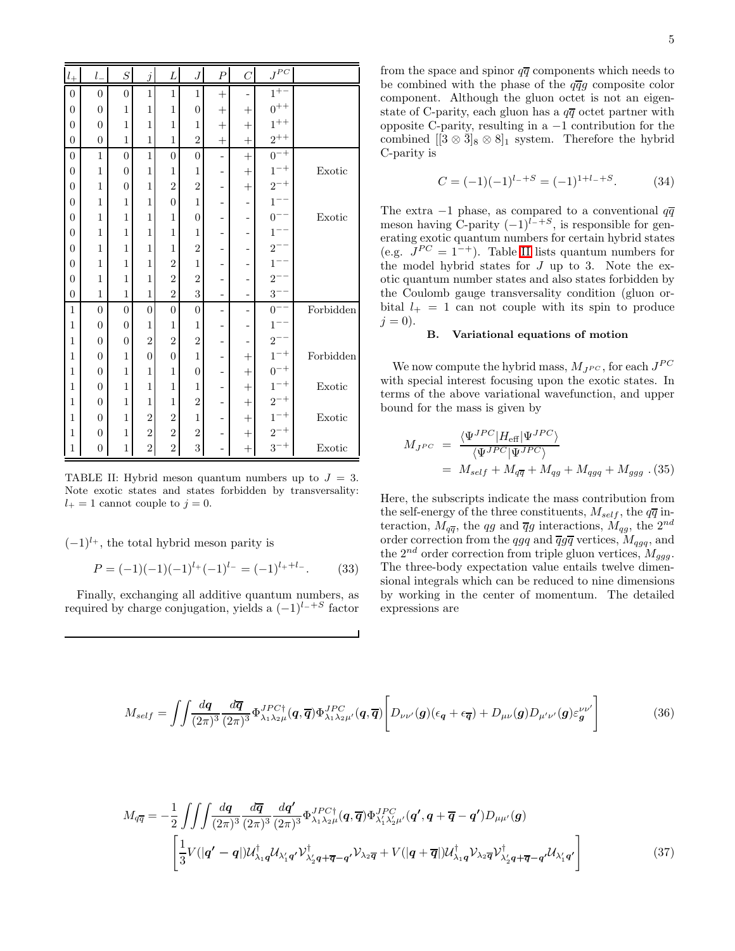| $l_\pm$          | $l_{-}$          | $\overline{S}$   | $\boldsymbol{j}$ | L                | $\boldsymbol{J}$ | $\boldsymbol{P}$ | $\mathcal{C}$ | $J^{PC}\,$                                                                                                  |           |
|------------------|------------------|------------------|------------------|------------------|------------------|------------------|---------------|-------------------------------------------------------------------------------------------------------------|-----------|
| $\boldsymbol{0}$ | $\boldsymbol{0}$ | $\boldsymbol{0}$ | $\mathbf{1}$     | 1                | 1                | $^{+}$           | ÷,            | $1^{+-}$                                                                                                    |           |
| $\overline{0}$   | $\overline{0}$   | $\mathbf{1}$     | $\mathbf{1}$     | $\mathbf{1}$     | $\overline{0}$   | $^{+}$           | $^{+}$        |                                                                                                             |           |
| $\overline{0}$   | $\overline{0}$   | $\mathbf{1}$     | $\mathbf{1}$     | $\mathbf{1}$     | $\mathbf{1}$     | $^{+}$           | $^{+}$        |                                                                                                             |           |
| $\overline{0}$   | $\overline{0}$   | $\mathbf{1}$     | $\mathbf{1}$     | $\overline{1}$   | $\overline{2}$   | $^{+}$           | $^{+}$        | $0^{++}$<br>$1^{++}$<br>$2^{++}$                                                                            |           |
| $\boldsymbol{0}$ | $\mathbf{1}$     | 0                | $\mathbf{1}$     | $\boldsymbol{0}$ | $\boldsymbol{0}$ | ÷                | $^{+}$        | $\begin{array}{l} 0^{-+} \\ 1^{-+} \\ 2^{-+} \\ 1^{--} \\ 0^{--} \\ 1^{--} \\ 2^{--} \end{array}$           |           |
| $\overline{0}$   | $\mathbf{1}$     | $\overline{0}$   | $\mathbf{1}$     | $\mathbf{1}$     | $\mathbf{1}$     | -                | $^{+}$        |                                                                                                             | Exotic    |
| $\overline{0}$   | $\overline{1}$   | 0                | $\mathbf{1}$     | $\overline{2}$   | $\overline{2}$   | -                | $^{+}$        |                                                                                                             |           |
| $\overline{0}$   | $\overline{1}$   | 1                | $\mathbf{1}$     | $\overline{0}$   | $\mathbf{1}$     | -                | -             |                                                                                                             |           |
| $\overline{0}$   | $\overline{1}$   | $\mathbf{1}$     | $\overline{1}$   | $\mathbf{1}$     | $\overline{0}$   | -                | -             |                                                                                                             | Exotic    |
| $\overline{0}$   | $\mathbf{1}$     | 1                | $\mathbf{1}$     | $\mathbf{1}$     | $\mathbf{1}$     |                  | -             |                                                                                                             |           |
| $\overline{0}$   | $\mathbf{1}$     | $\mathbf{1}$     | $\mathbf{1}$     | $\mathbf{1}$     | $\overline{2}$   | -                | -             |                                                                                                             |           |
| $\overline{0}$   | $\mathbf{1}$     | 1                | $\mathbf{1}$     | $\overline{2}$   | $\mathbf{1}$     |                  | -             | $1^{--}$                                                                                                    |           |
| $\overline{0}$   | $\mathbf{1}$     | $\mathbf{1}$     | $\mathbf{1}$     | $\overline{2}$   | $\overline{2}$   |                  | -             | $2^{-}$                                                                                                     |           |
| 0                | $\mathbf{1}$     | 1                | $\mathbf{1}$     | $\overline{2}$   | 3                | $\overline{a}$   | -             | $3-$                                                                                                        |           |
| $\mathbf{1}$     | $\overline{0}$   | $\boldsymbol{0}$ | $\overline{0}$   | $\boldsymbol{0}$ | $\boldsymbol{0}$ | -                | -             | $0^{-}$                                                                                                     | Forbidden |
| $\mathbf{1}$     | $\overline{0}$   | $\boldsymbol{0}$ | $\mathbf{1}$     | $\mathbf{1}$     | $\mathbf{1}$     | -                | -             | $1^{\circ}$                                                                                                 |           |
| $\mathbf{1}$     | $\overline{0}$   | $\overline{0}$   | $\overline{2}$   | $\overline{2}$   | $\overline{2}$   | -                | -             |                                                                                                             |           |
| $\mathbf{1}$     | $\overline{0}$   | 1                | $\overline{0}$   | $\overline{0}$   | $\mathbf{1}$     |                  | $^{+}$        |                                                                                                             | Forbidden |
| $\mathbf{1}$     | $\overline{0}$   | $\mathbf{1}$     | $\mathbf{1}$     | $\mathbf{1}$     | $\boldsymbol{0}$ |                  | $^{+}$        |                                                                                                             |           |
| $\mathbf{1}$     | $\overline{0}$   | 1                | $\mathbf{1}$     | $\mathbf{1}$     | $\mathbf{1}$     | -                | $^{+}$        |                                                                                                             | Exotic    |
| $\mathbf{1}$     | $\overline{0}$   | 1                | $\mathbf{1}$     | $\overline{1}$   | $\overline{2}$   |                  | $^{+}$        |                                                                                                             |           |
| $\mathbf{1}$     | $\overline{0}$   | $\overline{1}$   | $\overline{2}$   | $\overline{2}$   | $\mathbf{1}$     | -                | $^{+}$        |                                                                                                             | Exotic    |
| $\mathbf{1}$     | $\overline{0}$   | 1                | $\overline{2}$   | $\overline{2}$   | $\overline{2}$   | ۰                | $^{+}$        | $\begin{array}{l} 2^{--} \\ 1^{-+} \\ 0^{-+} \\ 1^{-+} \\ 2^{-+} \\ 1^{-+} \\ 2^{-+} \\ 3^{-+} \end{array}$ |           |
| $\mathbf{1}$     | $\overline{0}$   | 1                | $\overline{2}$   | $\overline{2}$   | 3                |                  | $^{+}$        |                                                                                                             | Exotic    |

<span id="page-4-0"></span>TABLE II: Hybrid meson quantum numbers up to  $J = 3$ . Note exotic states and states forbidden by transversality:  $l_{+} = 1$  cannot couple to  $j = 0$ .

 $(-1)^{l_+}$ , the total hybrid meson parity is

$$
P = (-1)(-1)(-1)^{l_{+}}(-1)^{l_{-}} = (-1)^{l_{+}+l_{-}}.
$$
 (33)

Finally, exchanging all additive quantum numbers, as required by charge conjugation, yields a  $(-1)^{l-+S}$  factor

from the space and spinor  $q\overline{q}$  components which needs to be combined with the phase of the  $q\overline{q}g$  composite color component. Although the gluon octet is not an eigenstate of C-parity, each gluon has a  $q\overline{q}$  octet partner with opposite C-parity, resulting in a −1 contribution for the combined  $[[3 \otimes \overline{3}]_8 \otimes 8]_1$  system. Therefore the hybrid C-parity is

$$
C = (-1)(-1)^{l-+S} = (-1)^{1+l-+S}.
$$
 (34)

The extra  $-1$  phase, as compared to a conventional  $q\overline{q}$ meson having C-parity  $(-1)^{l^-+S}$ , is responsible for generating exotic quantum numbers for certain hybrid states (e.g.  $J^{PC} = 1^{-+}$ ). Table [II](#page-4-0) lists quantum numbers for the model hybrid states for  $J$  up to 3. Note the exotic quantum number states and also states forbidden by the Coulomb gauge transversality condition (gluon orbital  $l_{+} = 1$  can not couple with its spin to produce  $j = 0$ ).

### B. Variational equations of motion

We now compute the hybrid mass,  $M_{JPC}$ , for each  $J^{PC}$ with special interest focusing upon the exotic states. In terms of the above variational wavefunction, and upper bound for the mass is given by

$$
M_{JPC} = \frac{\langle \Psi^{JPC} | H_{\text{eff}} | \Psi^{JPC} \rangle}{\langle \Psi^{JPC} | \Psi^{JPC} \rangle}
$$
  
= 
$$
M_{self} + M_{q\overline{q}} + M_{qg} + M_{qgq} + M_{ggg} . (35)
$$

Here, the subscripts indicate the mass contribution from the self-energy of the three constituents,  $M_{self}$ , the  $q\overline{q}$  interaction,  $M_{q\overline{q}}$ , the qg and  $\overline{q}g$  interactions,  $M_{qg}$ , the  $2^{nd}$ order correction from the qgq and  $\overline{q}g\overline{q}$  vertices,  $M_{qgg}$ , and the  $2^{nd}$  order correction from triple gluon vertices,  $M_{ggg}$ . The three-body expectation value entails twelve dimensional integrals which can be reduced to nine dimensions by working in the center of momentum. The detailed expressions are

<span id="page-4-1"></span>
$$
M_{self} = \iint \frac{d\boldsymbol{q}}{(2\pi)^3} \frac{d\overline{\boldsymbol{q}}}{(2\pi)^3} \Phi_{\lambda_1 \lambda_2 \mu}^{JPC\dagger}(\boldsymbol{q}, \overline{\boldsymbol{q}}) \Phi_{\lambda_1 \lambda_2 \mu'}^{JPC}(\boldsymbol{q}, \overline{\boldsymbol{q}}) \left[ D_{\nu\nu'}(\boldsymbol{g}) (\epsilon_{\boldsymbol{q}} + \epsilon_{\overline{\boldsymbol{q}}}) + D_{\mu\nu}(\boldsymbol{g}) D_{\mu'\nu'}(\boldsymbol{g}) \varepsilon_{\boldsymbol{g}}^{\nu\nu'} \right] \tag{36}
$$

$$
M_{q\overline{q}} = -\frac{1}{2} \iiint \frac{dq}{(2\pi)^3} \frac{d\overline{q}}{(2\pi)^3} \frac{dq'}{(2\pi)^3} \Phi_{\lambda_1 \lambda_2 \mu}^{JPC\dagger}(q, \overline{q}) \Phi_{\lambda_1' \lambda_2' \mu'}^{JPC'}(q', q + \overline{q} - q') D_{\mu\mu'}(g)
$$

$$
\left[ \frac{1}{3} V(|q' - q|) \mathcal{U}_{\lambda_1 q}^{\dagger} \mathcal{U}_{\lambda_1' q'} \mathcal{V}_{\lambda_2' q + \overline{q} - q'}^{\dagger} \mathcal{V}_{\lambda_2 \overline{q}} + V(|q + \overline{q}|) \mathcal{U}_{\lambda_1 q}^{\dagger} \mathcal{V}_{\lambda_2 \overline{q}} \mathcal{V}_{\lambda_2' q + \overline{q} - q'}^{\dagger} \mathcal{U}_{\lambda_1' q'} \right]
$$
(37)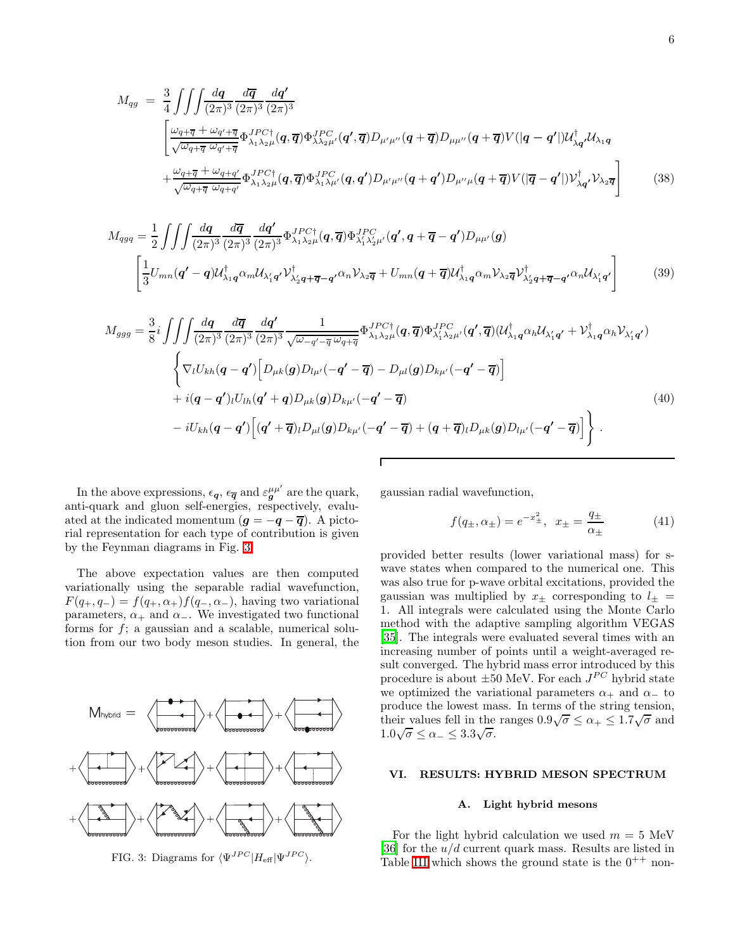$$
M_{qg} = \frac{3}{4} \iiint \frac{dq}{(2\pi)^3} \frac{d\overline{q}}{(2\pi)^3} \frac{dq'}{(2\pi)^3}
$$
  

$$
\left[ \frac{\omega_{q+\overline{q}} + \omega_{q'+\overline{q}}}{\sqrt{\omega_{q+\overline{q}} \omega_{q'+\overline{q}}}} \Phi_{\lambda_1 \lambda_2 \mu}^{JPC\dagger}(q, \overline{q}) \Phi_{\lambda \lambda_2 \mu'}^{JPC}(q', \overline{q}) D_{\mu'\mu''}(q + \overline{q}) D_{\mu\mu''}(q + \overline{q}) V(|q - q'|) U_{\lambda q'}^{\dagger} U_{\lambda_1 q}
$$
  

$$
+ \frac{\omega_{q+\overline{q}} + \omega_{q+q'}}{\sqrt{\omega_{q+\overline{q}} \omega_{q+q'}}} \Phi_{\lambda_1 \lambda_2 \mu}^{JPC\dagger}(q, \overline{q}) \Phi_{\lambda_1 \lambda \mu'}^{JPC}(q, q') D_{\mu'\mu''}(q + q') D_{\mu''\mu}(q + \overline{q}) V(|\overline{q} - q'|) V_{\lambda q'}^{\dagger} V_{\lambda_2 \overline{q}} \right]
$$
(38)

$$
M_{qgq} = \frac{1}{2} \iiint \frac{dq}{(2\pi)^3} \frac{d\overline{q}}{(2\pi)^3} \frac{dq'}{(2\pi)^3} \Phi_{\lambda_1 \lambda_2 \mu}^{JPC\dagger}(\mathbf{q}, \overline{\mathbf{q}}) \Phi_{\lambda_1' \lambda_2' \mu'}^{JPC'}(\mathbf{q}', \mathbf{q} + \overline{\mathbf{q}} - \mathbf{q}') D_{\mu\mu'}(\mathbf{g})
$$

$$
\left[ \frac{1}{3} U_{mn}(\mathbf{q}' - \mathbf{q}) \mathcal{U}_{\lambda_1 \mathbf{q}}^{\dagger} \alpha_m \mathcal{U}_{\lambda_1' \mathbf{q}'} \mathcal{V}_{\lambda_2' \mathbf{q} + \overline{\mathbf{q}} - \mathbf{q}'}^{\dagger} \alpha_n \mathcal{V}_{\lambda_2 \overline{\mathbf{q}}} + U_{mn}(\mathbf{q} + \overline{\mathbf{q}}) \mathcal{U}_{\lambda_1 \mathbf{q}}^{\dagger} \alpha_m \mathcal{V}_{\lambda_2 \overline{\mathbf{q}}} \mathcal{V}_{\lambda_2' \mathbf{q} + \overline{\mathbf{q}} - \mathbf{q}'}^{\dagger} \alpha_n \mathcal{U}_{\lambda_1' \mathbf{q}'} \right]
$$
(39)

$$
M_{ggg} = \frac{3}{8}i \iiint \frac{dq}{(2\pi)^3} \frac{d\overline{q}}{(2\pi)^3} \frac{dq'}{(2\pi)^3} \frac{1}{\sqrt{\omega_{-q'} - \overline{q}} \omega_{q+\overline{q}}} \Phi_{\lambda_1\lambda_2\mu}^{JPC\dagger}(q, \overline{q}) \Phi_{\lambda_1'\lambda_2\mu'}^{JPC}(q', \overline{q}) (\mathcal{U}_{\lambda_1q}^{\dagger} \alpha_h \mathcal{U}_{\lambda_1q'} + \mathcal{V}_{\lambda_1q}^{\dagger} \alpha_h \mathcal{V}_{\lambda_1q'})
$$
\n
$$
\left\{ \nabla_l U_{kh}(q - q') \left[ D_{\mu k}(q) D_{l\mu'}(-q' - \overline{q}) - D_{\mu l}(q) D_{k\mu'}(-q' - \overline{q}) \right] \n+ i(q - q')_{l} U_{lh}(q' + q) D_{\mu k}(q) D_{k\mu'}(-q' - \overline{q}) \right\}
$$
\n
$$
- i U_{kh}(q - q') \left[ (q' + \overline{q})_{l} D_{\mu l}(q) D_{k\mu'}(-q' - \overline{q}) + (q + \overline{q})_{l} D_{\mu k}(q) D_{l\mu'}(-q' - \overline{q}) \right] \right\}.
$$
\n
$$
(40)
$$

In the above expressions,  $\epsilon_{\mathbf{q}}, \epsilon_{\overline{\mathbf{q}}}$  and  $\varepsilon_{\mathbf{g}}^{\mu\mu'}$  are the quark, anti-quark and gluon self-energies, respectively, evaluated at the indicated momentum  $(g = -q - \overline{q})$ . A pictorial representation for each type of contribution is given by the Feynman diagrams in Fig. [3.](#page-5-0)

The above expectation values are then computed variationally using the separable radial wavefunction,  $F(q_+, q_-) = f(q_+, \alpha_+) f(q_-, \alpha_-)$ , having two variational parameters,  $\alpha_+$  and  $\alpha_-$ . We investigated two functional forms for  $f$ ; a gaussian and a scalable, numerical solution from our two body meson studies. In general, the



<span id="page-5-0"></span>FIG. 3: Diagrams for  $\langle \Psi^{JPC} | H_{\text{eff}} | \Psi^{JPC} \rangle$ .

gaussian radial wavefunction,

$$
f(q_{\pm}, \alpha_{\pm}) = e^{-x_{\pm}^2}, \ \ x_{\pm} = \frac{q_{\pm}}{\alpha_{\pm}}
$$
 (41)

provided better results (lower variational mass) for swave states when compared to the numerical one. This was also true for p-wave orbital excitations, provided the gaussian was multiplied by  $x_{\pm}$  corresponding to  $l_{\pm}$  = 1. All integrals were calculated using the Monte Carlo method with the adaptive sampling algorithm VEGAS [\[35\]](#page-12-0). The integrals were evaluated several times with an increasing number of points until a weight-averaged result converged. The hybrid mass error introduced by this procedure is about  $\pm 50$  MeV. For each  $J^{PC}$  hybrid state we optimized the variational parameters  $\alpha_+$  and  $\alpha_-$  to produce the lowest mass. In terms of the string tension, their values fell in the ranges  $0.9\sqrt{\sigma} \le \alpha_+ \le 1.7\sqrt{\sigma}$  and  $1.0\sqrt{\sigma} \le \alpha_- \le 3.3\sqrt{\sigma}.$ 

# VI. RESULTS: HYBRID MESON SPECTRUM

### A. Light hybrid mesons

For the light hybrid calculation we used  $m = 5$  MeV [\[36\]](#page-12-1) for the  $u/d$  current quark mass. Results are listed in Table [III](#page-6-0) which shows the ground state is the  $0^{++}$  non-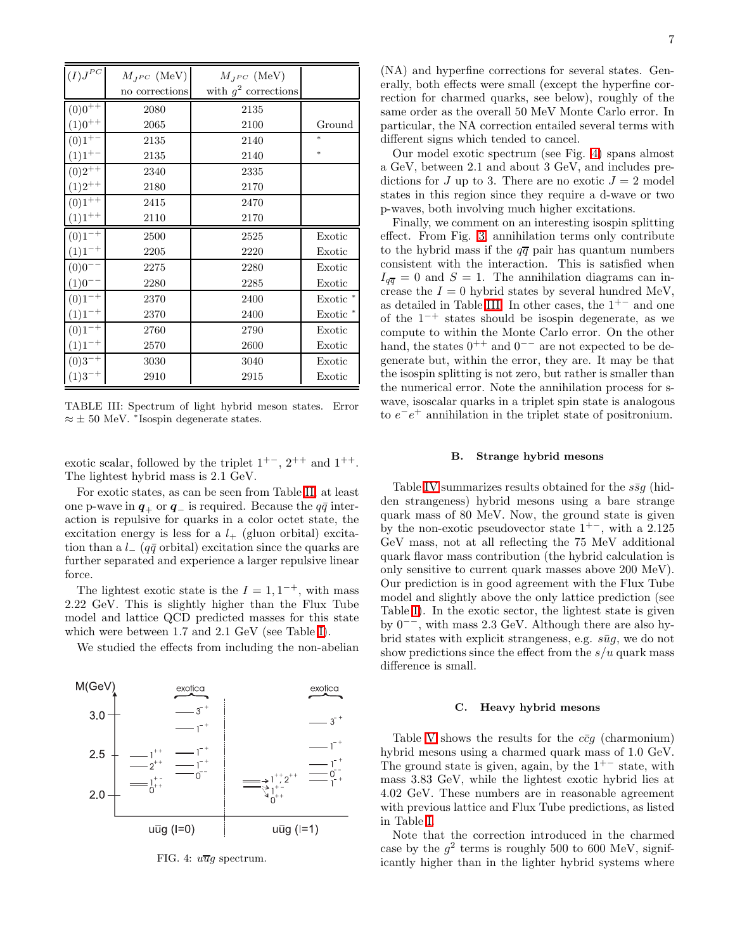| $(I)J^{PC}$            | $M_{JPC}$ (MeV) | $M_{JPC}$ (MeV)        |          |
|------------------------|-----------------|------------------------|----------|
|                        | no corrections  | with $q^2$ corrections |          |
| $(0)0^{+\overline{+}}$ | 2080            | 2135                   |          |
| $(1)0^{++}$            | 2065            | 2100                   | Ground   |
| $(0)1^{+-}$            | 2135            | 2140                   | $*$      |
| $(1)1^{+-}$            | 2135            | 2140                   | $*$      |
| $(0)2^{++}$            | 2340            | 2335                   |          |
| $(1)2^{++}$            | 2180            | 2170                   |          |
| $(0)1^{++}$            | 2415            | 2470                   |          |
| $(1)1^{++}$            | 2110            | 2170                   |          |
| $(0)1^{-+}$            | 2500            | 2525                   | Exotic   |
| $(1)1^{-+}$            | 2205            | 2220                   | Exotic   |
| $(0)0^{--}$            | 2275            | 2280                   | Exotic   |
| $(1)0^{--}$            | 2280            | 2285                   | Exotic   |
| $(0)1^{-+}$            | 2370            | 2400                   | Exotic * |
| $(1)1^{-+}$            | 2370            | 2400                   | Exotic * |
| $(0)1^{-+}$            | 2760            | 2790                   | Exotic   |
| $(1)1^{-+}$            | 2570            | 2600                   | Exotic   |
| $(0)3^{-+}$            | 3030            | 3040                   | Exotic   |
| $(1)3^{-+}$            | 2910            | 2915                   | Exotic   |

<span id="page-6-0"></span>TABLE III: Spectrum of light hybrid meson states. Error  $\approx \pm 50$  MeV. \*Isospin degenerate states.

exotic scalar, followed by the triplet  $1^{+-}$ ,  $2^{++}$  and  $1^{++}$ . The lightest hybrid mass is 2.1 GeV.

For exotic states, as can be seen from Table [II,](#page-4-0) at least one p-wave in  $q_+$  or  $q_-$  is required. Because the  $q\bar{q}$  interaction is repulsive for quarks in a color octet state, the excitation energy is less for a  $l_{+}$  (gluon orbital) excitation than a  $l_{-}$  (q $\bar{q}$  orbital) excitation since the quarks are further separated and experience a larger repulsive linear force.

The lightest exotic state is the  $I = 1, 1^{-+}$ , with mass 2.22 GeV. This is slightly higher than the Flux Tube model and lattice QCD predicted masses for this state which were between 1.7 and 2.1 GeV (see Table [I\)](#page-0-0).

We studied the effects from including the non-abelian



<span id="page-6-1"></span>FIG. 4:  $u\overline{u}g$  spectrum.

(NA) and hyperfine corrections for several states. Generally, both effects were small (except the hyperfine correction for charmed quarks, see below), roughly of the same order as the overall 50 MeV Monte Carlo error. In particular, the NA correction entailed several terms with different signs which tended to cancel.

Our model exotic spectrum (see Fig. [4\)](#page-6-1) spans almost a GeV, between 2.1 and about 3 GeV, and includes predictions for J up to 3. There are no exotic  $J = 2$  model states in this region since they require a d-wave or two p-waves, both involving much higher excitations.

Finally, we comment on an interesting isospin splitting effect. From Fig. [3,](#page-5-0) annihilation terms only contribute to the hybrid mass if the  $q\overline{q}$  pair has quantum numbers consistent with the interaction. This is satisfied when  $I_{q\overline{q}} = 0$  and  $S = 1$ . The annihilation diagrams can increase the  $I = 0$  hybrid states by several hundred MeV, as detailed in Table [III.](#page-6-0) In other cases, the  $1^{+-}$  and one of the 1<sup>−</sup><sup>+</sup> states should be isospin degenerate, as we compute to within the Monte Carlo error. On the other hand, the states  $0^{++}$  and  $0^{--}$  are not expected to be degenerate but, within the error, they are. It may be that the isospin splitting is not zero, but rather is smaller than the numerical error. Note the annihilation process for swave, isoscalar quarks in a triplet spin state is analogous to  $e^-e^+$  annihilation in the triplet state of positronium.

### B. Strange hybrid mesons

Table [IV](#page-7-0) summarizes results obtained for the  $s\bar{s}g$  (hidden strangeness) hybrid mesons using a bare strange quark mass of 80 MeV. Now, the ground state is given by the non-exotic pseudovector state  $1^{+-}$ , with a 2.125 GeV mass, not at all reflecting the 75 MeV additional quark flavor mass contribution (the hybrid calculation is only sensitive to current quark masses above 200 MeV). Our prediction is in good agreement with the Flux Tube model and slightly above the only lattice prediction (see Table [I\)](#page-0-0). In the exotic sector, the lightest state is given by 0−−, with mass 2.3 GeV. Although there are also hybrid states with explicit strangeness, e.g.  $s\bar{u}g$ , we do not show predictions since the effect from the  $s/u$  quark mass difference is small.

#### C. Heavy hybrid mesons

Table [V](#page-7-1) shows the results for the  $c\bar{c}g$  (charmonium) hybrid mesons using a charmed quark mass of 1.0 GeV. The ground state is given, again, by the  $1^{+-}$  state, with mass 3.83 GeV, while the lightest exotic hybrid lies at 4.02 GeV. These numbers are in reasonable agreement with previous lattice and Flux Tube predictions, as listed in Table [I.](#page-0-0)

Note that the correction introduced in the charmed case by the  $g^2$  terms is roughly 500 to 600 MeV, significantly higher than in the lighter hybrid systems where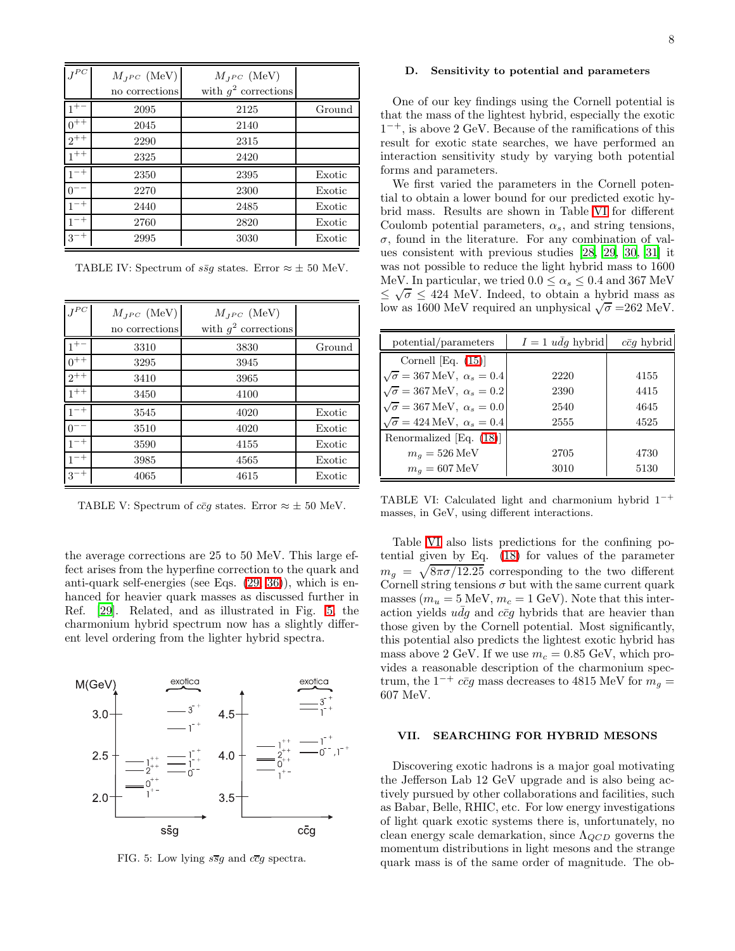| $J^{PC}$ | $M_{JPC}$ (MeV) | $M_{JPC}$ (MeV)        |        |
|----------|-----------------|------------------------|--------|
|          | no corrections  | with $g^2$ corrections |        |
| $1^{+-}$ | 2095            | 2125                   | Ground |
| $0^{++}$ | 2045            | 2140                   |        |
| $2^{++}$ | 2290            | 2315                   |        |
| $1^{++}$ | 2325            | 2420                   |        |
| $1^{-+}$ | 2350            | 2395                   | Exotic |
|          | 2270            | 2300                   | Exotic |
| $1^{-+}$ | 2440            | 2485                   | Exotic |
| $1^{-+}$ | 2760            | 2820                   | Exotic |
| $3^{-+}$ | 2995            | 3030                   | Exotic |

<span id="page-7-0"></span>TABLE IV: Spectrum of  $s\bar{s}g$  states. Error  $\approx \pm 50$  MeV.

| ${\cal J}^{PC}$ | $M_{JPC}$ (MeV)<br>no corrections | $M_{JPC}$ (MeV)<br>with $g^2$ corrections |        |
|-----------------|-----------------------------------|-------------------------------------------|--------|
|                 | 3310                              | 3830                                      | Ground |
| $0^{++}$        | 3295                              | 3945                                      |        |
| $2^{++}$        | 3410                              | 3965                                      |        |
| $1^{++}$        | 3450                              | 4100                                      |        |
| $-+$            | 3545                              | 4020                                      | Exotic |
|                 | 3510                              | 4020                                      | Exotic |
| $1^{-+}$        | 3590                              | 4155                                      | Exotic |
| $1^{-+}$        | 3985                              | 4565                                      | Exotic |
| $3^{-+}$        | 4065                              | 4615                                      | Exotic |

<span id="page-7-1"></span>TABLE V: Spectrum of  $c\bar{c}g$  states. Error  $\approx \pm 50$  MeV.

the average corrections are 25 to 50 MeV. This large effect arises from the hyperfine correction to the quark and anti-quark self-energies (see Eqs. [\(29,](#page-3-1) [36\)](#page-4-1)), which is enhanced for heavier quark masses as discussed further in Ref. [\[29](#page-11-25)]. Related, and as illustrated in Fig. [5,](#page-7-2) the charmonium hybrid spectrum now has a slightly different level ordering from the lighter hybrid spectra.



<span id="page-7-2"></span>FIG. 5: Low lying  $s\overline{s}g$  and  $c\overline{c}g$  spectra.

## D. Sensitivity to potential and parameters

One of our key findings using the Cornell potential is that the mass of the lightest hybrid, especially the exotic 1 <sup>−</sup><sup>+</sup>, is above 2 GeV. Because of the ramifications of this result for exotic state searches, we have performed an interaction sensitivity study by varying both potential forms and parameters.

We first varied the parameters in the Cornell potential to obtain a lower bound for our predicted exotic hybrid mass. Results are shown in Table [VI](#page-7-3) for different Coulomb potential parameters,  $\alpha_s$ , and string tensions,  $\sigma$ , found in the literature. For any combination of values consistent with previous studies [\[28](#page-11-24), [29,](#page-11-25) [30,](#page-11-26) [31](#page-11-27)] it was not possible to reduce the light hybrid mass to 1600 MeV. In particular, we tried  $0.0 \le \alpha_s \le 0.4$  and 367 MeV  $\leq \sqrt{\sigma} \leq 424$  MeV. Indeed, to obtain a hybrid mass as low as 1600 MeV required an unphysical  $\sqrt{\sigma}$  =262 MeV.

| potential/parameters                                 | $I = 1$ udg hybrid | $c\bar{c}q$ hybrid |
|------------------------------------------------------|--------------------|--------------------|
| Cornell [Eq. $(15)$ ]                                |                    |                    |
| $\sqrt{\sigma} = 367 \,\text{MeV}, \ \alpha_s = 0.4$ | 2220               | 4155               |
| $\sqrt{\sigma} = 367 \,\text{MeV}, \ \alpha_s = 0.2$ | 2390               | 4415               |
| $\sqrt{\sigma} = 367 \,\text{MeV}, \ \alpha_s = 0.0$ | 2540               | 4645               |
| $\sqrt{\sigma} = 424 \text{ MeV}, \ \alpha_s = 0.4$  | 2555               | 4525               |
| Renormalized [Eq. (18)]                              |                    |                    |
| $m_q = 526 \,\text{MeV}$                             | 2705               | 4730               |
| $m_a = 607 \,\text{MeV}$                             | 3010               | 5130               |

<span id="page-7-3"></span>TABLE VI: Calculated light and charmonium hybrid  $1^{-+}$ masses, in GeV, using different interactions.

Table [VI](#page-7-3) also lists predictions for the confining potential given by Eq. [\(18\)](#page-1-1) for values of the parameter  $m_g = \sqrt{8\pi\sigma/12.25}$  corresponding to the two different Cornell string tensions  $\sigma$  but with the same current quark masses  $(m_u = 5 \text{ MeV}, m_c = 1 \text{ GeV})$ . Note that this interaction yields  $u\bar{d}g$  and  $c\bar{c}g$  hybrids that are heavier than those given by the Cornell potential. Most significantly, this potential also predicts the lightest exotic hybrid has mass above 2 GeV. If we use  $m_c = 0.85$  GeV, which provides a reasonable description of the charmonium spectrum, the  $1^{-+}$  ccg mass decreases to 4815 MeV for  $m_q =$ 607 MeV.

### VII. SEARCHING FOR HYBRID MESONS

Discovering exotic hadrons is a major goal motivating the Jefferson Lab 12 GeV upgrade and is also being actively pursued by other collaborations and facilities, such as Babar, Belle, RHIC, etc. For low energy investigations of light quark exotic systems there is, unfortunately, no clean energy scale demarkation, since  $\Lambda_{QCD}$  governs the momentum distributions in light mesons and the strange quark mass is of the same order of magnitude. The ob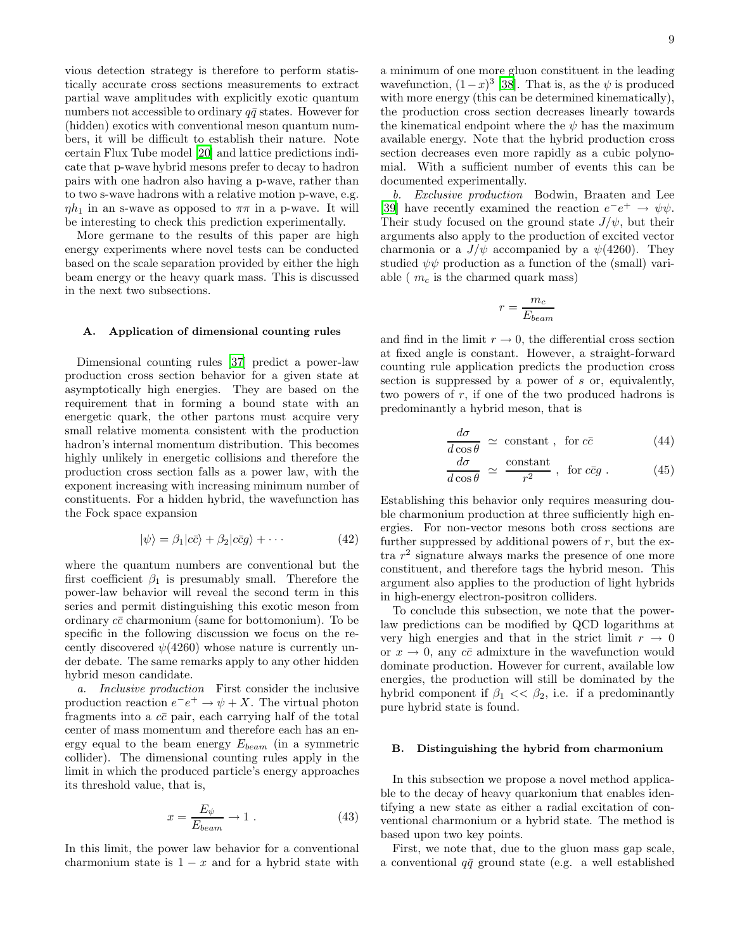vious detection strategy is therefore to perform statistically accurate cross sections measurements to extract partial wave amplitudes with explicitly exotic quantum numbers not accessible to ordinary  $q\bar{q}$  states. However for (hidden) exotics with conventional meson quantum numbers, it will be difficult to establish their nature. Note certain Flux Tube model [\[20](#page-11-19)] and lattice predictions indicate that p-wave hybrid mesons prefer to decay to hadron pairs with one hadron also having a p-wave, rather than to two s-wave hadrons with a relative motion p-wave, e.g.  $\eta h_1$  in an s-wave as opposed to  $\pi\pi$  in a p-wave. It will be interesting to check this prediction experimentally.

More germane to the results of this paper are high energy experiments where novel tests can be conducted based on the scale separation provided by either the high beam energy or the heavy quark mass. This is discussed in the next two subsections.

## A. Application of dimensional counting rules

Dimensional counting rules [\[37\]](#page-12-2) predict a power-law production cross section behavior for a given state at asymptotically high energies. They are based on the requirement that in forming a bound state with an energetic quark, the other partons must acquire very small relative momenta consistent with the production hadron's internal momentum distribution. This becomes highly unlikely in energetic collisions and therefore the production cross section falls as a power law, with the exponent increasing with increasing minimum number of constituents. For a hidden hybrid, the wavefunction has the Fock space expansion

$$
|\psi\rangle = \beta_1|c\bar{c}\rangle + \beta_2|c\bar{c}g\rangle + \cdots
$$
 (42)

where the quantum numbers are conventional but the first coefficient  $\beta_1$  is presumably small. Therefore the power-law behavior will reveal the second term in this series and permit distinguishing this exotic meson from ordinary  $c\bar{c}$  charmonium (same for bottomonium). To be specific in the following discussion we focus on the recently discovered  $\psi(4260)$  whose nature is currently under debate. The same remarks apply to any other hidden hybrid meson candidate.

a. Inclusive production First consider the inclusive production reaction  $e^-e^+ \to \psi + X$ . The virtual photon fragments into a  $c\bar{c}$  pair, each carrying half of the total center of mass momentum and therefore each has an energy equal to the beam energy  $E_{beam}$  (in a symmetric collider). The dimensional counting rules apply in the limit in which the produced particle's energy approaches its threshold value, that is,

$$
x = \frac{E_{\psi}}{E_{beam}} \to 1 \tag{43}
$$

In this limit, the power law behavior for a conventional charmonium state is  $1 - x$  and for a hybrid state with a minimum of one more gluon constituent in the leading wavefunction,  $(1-x)^3$  [\[38\]](#page-12-3). That is, as the  $\psi$  is produced with more energy (this can be determined kinematically), the production cross section decreases linearly towards the kinematical endpoint where the  $\psi$  has the maximum available energy. Note that the hybrid production cross section decreases even more rapidly as a cubic polynomial. With a sufficient number of events this can be documented experimentally.

b. Exclusive production Bodwin, Braaten and Lee [\[39\]](#page-12-4) have recently examined the reaction  $e^-e^+ \to \psi\psi$ . Their study focused on the ground state  $J/\psi$ , but their arguments also apply to the production of excited vector charmonia or a  $J/\psi$  accompanied by a  $\psi$ (4260). They studied  $\psi\psi$  production as a function of the (small) variable ( $m_c$  is the charmed quark mass)

$$
r = \frac{m_c}{E_{beam}}
$$

and find in the limit  $r \to 0$ , the differential cross section at fixed angle is constant. However, a straight-forward counting rule application predicts the production cross section is suppressed by a power of s or, equivalently, two powers of  $r$ , if one of the two produced hadrons is predominantly a hybrid meson, that is

$$
\frac{d\sigma}{d\cos\theta} \simeq \text{ constant} , \text{ for } c\bar{c}
$$
 (44)

$$
\frac{d\sigma}{d\cos\theta} \simeq \frac{\text{constant}}{r^2} \,, \text{ for } c\bar{c}g \,. \tag{45}
$$

Establishing this behavior only requires measuring double charmonium production at three sufficiently high energies. For non-vector mesons both cross sections are further suppressed by additional powers of  $r$ , but the extra  $r<sup>2</sup>$  signature always marks the presence of one more constituent, and therefore tags the hybrid meson. This argument also applies to the production of light hybrids in high-energy electron-positron colliders.

To conclude this subsection, we note that the powerlaw predictions can be modified by QCD logarithms at very high energies and that in the strict limit  $r \to 0$ or  $x \to 0$ , any  $c\bar{c}$  admixture in the wavefunction would dominate production. However for current, available low energies, the production will still be dominated by the hybrid component if  $\beta_1 \ll \beta_2$ , i.e. if a predominantly pure hybrid state is found.

### B. Distinguishing the hybrid from charmonium

In this subsection we propose a novel method applicable to the decay of heavy quarkonium that enables identifying a new state as either a radial excitation of conventional charmonium or a hybrid state. The method is based upon two key points.

First, we note that, due to the gluon mass gap scale, a conventional  $q\bar{q}$  ground state (e.g. a well established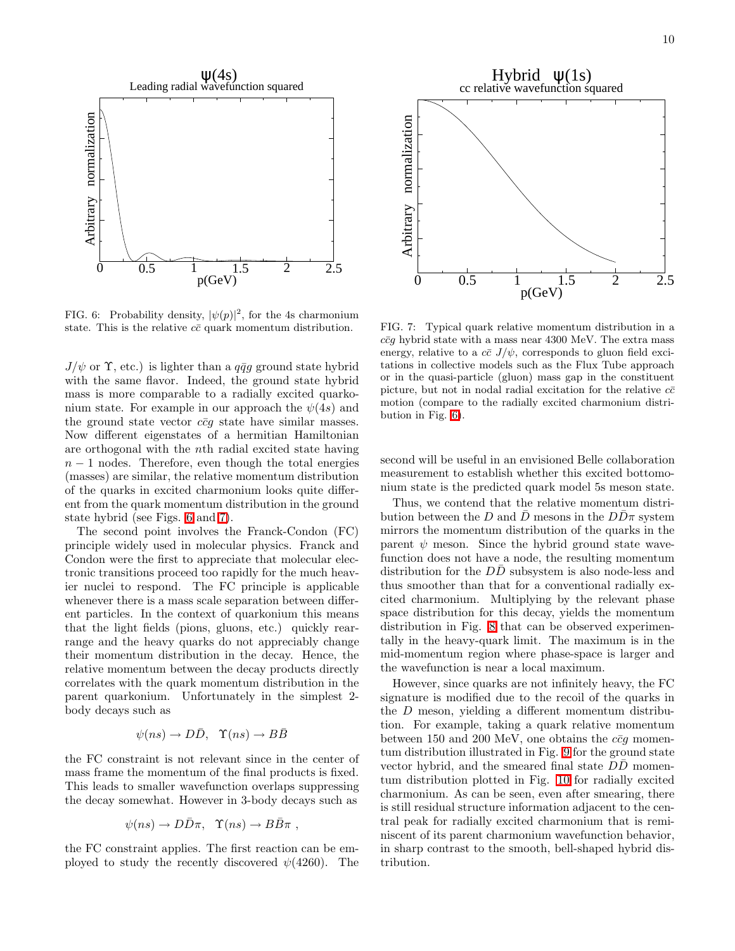

<span id="page-9-0"></span>FIG. 6: Probability density,  $|\psi(p)|^2$ , for the 4s charmonium state. This is the relative  $c\bar{c}$  quark momentum distribution.

 $J/\psi$  or  $\Upsilon$ , etc.) is lighter than a  $q\bar{q}q$  ground state hybrid with the same flavor. Indeed, the ground state hybrid mass is more comparable to a radially excited quarkonium state. For example in our approach the  $\psi(4s)$  and the ground state vector  $c\bar{c}q$  state have similar masses. Now different eigenstates of a hermitian Hamiltonian are orthogonal with the nth radial excited state having  $n-1$  nodes. Therefore, even though the total energies (masses) are similar, the relative momentum distribution of the quarks in excited charmonium looks quite different from the quark momentum distribution in the ground state hybrid (see Figs. [6](#page-9-0) and [7\)](#page-9-1).

The second point involves the Franck-Condon (FC) principle widely used in molecular physics. Franck and Condon were the first to appreciate that molecular electronic transitions proceed too rapidly for the much heavier nuclei to respond. The FC principle is applicable whenever there is a mass scale separation between different particles. In the context of quarkonium this means that the light fields (pions, gluons, etc.) quickly rearrange and the heavy quarks do not appreciably change their momentum distribution in the decay. Hence, the relative momentum between the decay products directly correlates with the quark momentum distribution in the parent quarkonium. Unfortunately in the simplest 2 body decays such as

$$
\psi(ns) \to D\bar{D}, \quad \Upsilon(ns) \to B\bar{B}
$$

the FC constraint is not relevant since in the center of mass frame the momentum of the final products is fixed. This leads to smaller wavefunction overlaps suppressing the decay somewhat. However in 3-body decays such as

$$
\psi(ns) \to D\bar{D}\pi
$$
,  $\Upsilon(ns) \to B\bar{B}\pi$ ,

the FC constraint applies. The first reaction can be employed to study the recently discovered  $\psi(4260)$ . The



<span id="page-9-1"></span>FIG. 7: Typical quark relative momentum distribution in a  $c\bar{c}a$  hybrid state with a mass near 4300 MeV. The extra mass energy, relative to a  $c\bar{c}$   $J/\psi$ , corresponds to gluon field excitations in collective models such as the Flux Tube approach or in the quasi-particle (gluon) mass gap in the constituent picture, but not in nodal radial excitation for the relative  $c\bar{c}$ motion (compare to the radially excited charmonium distribution in Fig. [6\)](#page-9-0).

second will be useful in an envisioned Belle collaboration measurement to establish whether this excited bottomonium state is the predicted quark model 5s meson state.

Thus, we contend that the relative momentum distribution between the D and  $\bar{D}$  mesons in the  $D\bar{D}\pi$  system mirrors the momentum distribution of the quarks in the parent  $\psi$  meson. Since the hybrid ground state wavefunction does not have a node, the resulting momentum distribution for the  $D\overline{D}$  subsystem is also node-less and thus smoother than that for a conventional radially excited charmonium. Multiplying by the relevant phase space distribution for this decay, yields the momentum distribution in Fig. [8](#page-10-0) that can be observed experimentally in the heavy-quark limit. The maximum is in the mid-momentum region where phase-space is larger and the wavefunction is near a local maximum.

However, since quarks are not infinitely heavy, the FC signature is modified due to the recoil of the quarks in the D meson, yielding a different momentum distribution. For example, taking a quark relative momentum between 150 and 200 MeV, one obtains the  $c\bar{c}q$  momentum distribution illustrated in Fig. [9](#page-10-1) for the ground state vector hybrid, and the smeared final state  $DD$  momentum distribution plotted in Fig. [10](#page-10-2) for radially excited charmonium. As can be seen, even after smearing, there is still residual structure information adjacent to the central peak for radially excited charmonium that is reminiscent of its parent charmonium wavefunction behavior, in sharp contrast to the smooth, bell-shaped hybrid distribution.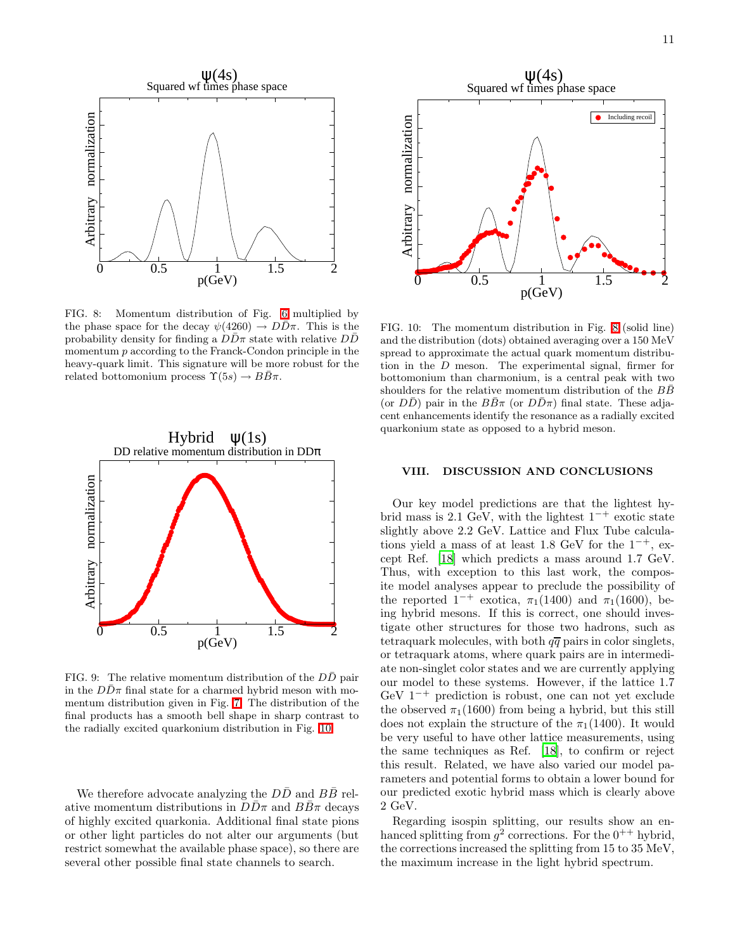

<span id="page-10-0"></span>FIG. 8: Momentum distribution of Fig. [6](#page-9-0) multiplied by the phase space for the decay  $\psi(4260) \rightarrow D\bar{D}\pi$ . This is the probability density for finding a  $D\bar{D}\pi$  state with relative  $D\bar{D}$ momentum p according to the Franck-Condon principle in the heavy-quark limit. This signature will be more robust for the related bottomonium process  $\Upsilon(5s) \rightarrow B\overline{B}\pi$ .



<span id="page-10-1"></span>FIG. 9: The relative momentum distribution of the DD pair in the  $DD\pi$  final state for a charmed hybrid meson with momentum distribution given in Fig. [7.](#page-9-1) The distribution of the final products has a smooth bell shape in sharp contrast to the radially excited quarkonium distribution in Fig. [10.](#page-10-2)

We therefore advocate analyzing the  $D\bar{D}$  and  $B\bar{B}$  relative momentum distributions in  $DD\pi$  and  $BB\pi$  decays of highly excited quarkonia. Additional final state pions or other light particles do not alter our arguments (but restrict somewhat the available phase space), so there are several other possible final state channels to search.



<span id="page-10-2"></span>FIG. 10: The momentum distribution in Fig. [8](#page-10-0) (solid line) and the distribution (dots) obtained averaging over a 150 MeV spread to approximate the actual quark momentum distribution in the D meson. The experimental signal, firmer for bottomonium than charmonium, is a central peak with two shoulders for the relative momentum distribution of the  $BB$ (or  $D\bar{D}$ ) pair in the  $B\bar{B}\pi$  (or  $D\bar{D}\pi$ ) final state. These adjacent enhancements identify the resonance as a radially excited quarkonium state as opposed to a hybrid meson.

### VIII. DISCUSSION AND CONCLUSIONS

Our key model predictions are that the lightest hybrid mass is 2.1 GeV, with the lightest  $1^{-+}$  exotic state slightly above 2.2 GeV. Lattice and Flux Tube calculations yield a mass of at least 1.8 GeV for the  $1^{-+}$ , except Ref. [\[18\]](#page-11-17) which predicts a mass around 1.7 GeV. Thus, with exception to this last work, the composite model analyses appear to preclude the possibility of the reported  $1^{-+}$  exotica,  $\pi_1(1400)$  and  $\pi_1(1600)$ , being hybrid mesons. If this is correct, one should investigate other structures for those two hadrons, such as tetraquark molecules, with both  $q\bar{q}$  pairs in color singlets, or tetraquark atoms, where quark pairs are in intermediate non-singlet color states and we are currently applying our model to these systems. However, if the lattice 1.7 GeV  $1^{-+}$  prediction is robust, one can not yet exclude the observed  $\pi_1(1600)$  from being a hybrid, but this still does not explain the structure of the  $\pi_1(1400)$ . It would be very useful to have other lattice measurements, using the same techniques as Ref. [\[18\]](#page-11-17), to confirm or reject this result. Related, we have also varied our model parameters and potential forms to obtain a lower bound for our predicted exotic hybrid mass which is clearly above 2 GeV.

Regarding isospin splitting, our results show an enhanced splitting from  $g^2$  corrections. For the  $0^{++}$  hybrid, the corrections increased the splitting from 15 to 35 MeV, the maximum increase in the light hybrid spectrum.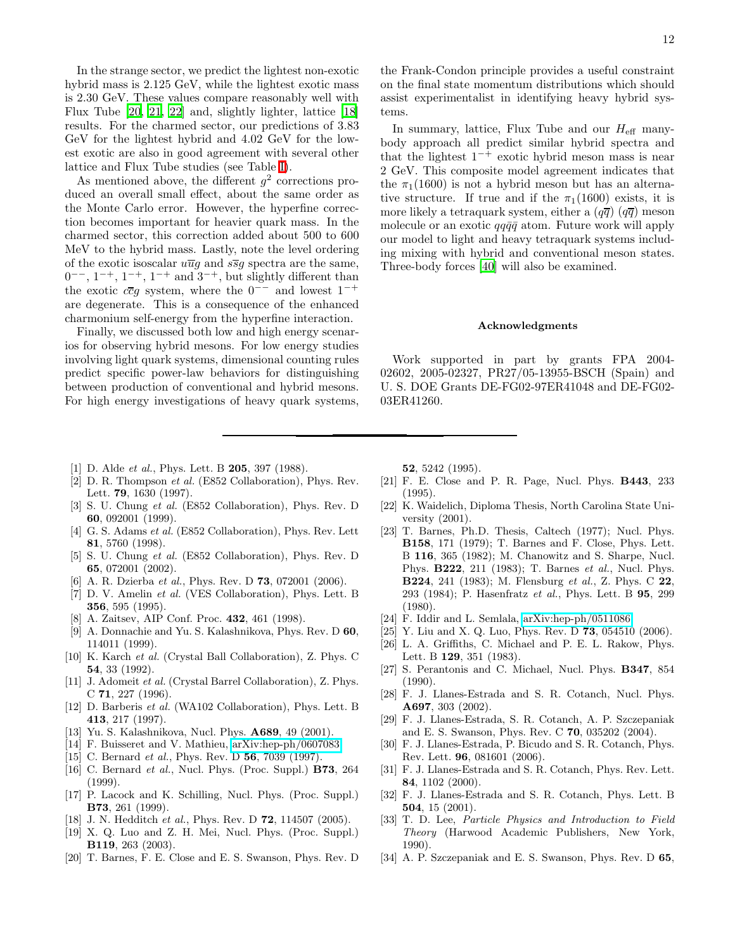In the strange sector, we predict the lightest non-exotic hybrid mass is 2.125 GeV, while the lightest exotic mass is 2.30 GeV. These values compare reasonably well with Flux Tube [\[20](#page-11-19), [21](#page-11-20), [22\]](#page-11-21) and, slightly lighter, lattice [\[18](#page-11-17)] results. For the charmed sector, our predictions of 3.83 GeV for the lightest hybrid and 4.02 GeV for the lowest exotic are also in good agreement with several other lattice and Flux Tube studies (see Table [I\)](#page-0-0).

As mentioned above, the different  $g^2$  corrections produced an overall small effect, about the same order as the Monte Carlo error. However, the hyperfine correction becomes important for heavier quark mass. In the charmed sector, this correction added about 500 to 600 MeV to the hybrid mass. Lastly, note the level ordering of the exotic isoscalar  $u\overline{u}g$  and  $s\overline{s}g$  spectra are the same,  $0^{--}$ ,  $1^{-+}$ ,  $1^{-+}$ ,  $1^{-+}$  and  $3^{-+}$ , but slightly different than the exotic  $c\bar{c}g$  system, where the  $0^{--}$  and lowest  $1^{-+}$ are degenerate. This is a consequence of the enhanced charmonium self-energy from the hyperfine interaction.

Finally, we discussed both low and high energy scenarios for observing hybrid mesons. For low energy studies involving light quark systems, dimensional counting rules predict specific power-law behaviors for distinguishing between production of conventional and hybrid mesons. For high energy investigations of heavy quark systems,

- <span id="page-11-0"></span>[1] D. Alde *et al.*, Phys. Lett. B **205**, 397 (1988).
- <span id="page-11-1"></span>[2] D. R. Thompson et al. (E852 Collaboration), Phys. Rev. Lett. 79, 1630 (1997).
- <span id="page-11-2"></span>[3] S. U. Chung et al. (E852 Collaboration), Phys. Rev. D 60, 092001 (1999).
- <span id="page-11-3"></span>[4] G. S. Adams et al. (E852 Collaboration), Phys. Rev. Lett 81, 5760 (1998).
- <span id="page-11-4"></span>[5] S. U. Chung et al. (E852 Collaboration), Phys. Rev. D 65, 072001 (2002).
- <span id="page-11-5"></span>[6] A. R. Dzierba et al., Phys. Rev. D **73**, 072001 (2006).
- <span id="page-11-6"></span>[7] D. V. Amelin et al. (VES Collaboration), Phys. Lett. B 356, 595 (1995).
- [8] A. Zaitsev, AIP Conf. Proc. 432, 461 (1998).
- <span id="page-11-7"></span>[9] A. Donnachie and Yu. S. Kalashnikova, Phys. Rev. D 60, 114011 (1999).
- <span id="page-11-9"></span><span id="page-11-8"></span>[10] K. Karch et al. (Crystal Ball Collaboration), Z. Phys. C 54, 33 (1992).
- <span id="page-11-10"></span>[11] J. Adomeit et al. (Crystal Barrel Collaboration), Z. Phys. C 71, 227 (1996).
- <span id="page-11-11"></span>[12] D. Barberis et al. (WA102 Collaboration), Phys. Lett. B 413, 217 (1997).
- <span id="page-11-12"></span>[13] Yu. S. Kalashnikova, Nucl. Phys. A689, 49 (2001).
- <span id="page-11-13"></span>[14] F. Buisseret and V. Mathieu, [arXiv:hep-ph/0607083.](http://arXiv.org/abs/hep-ph/0607083)
- <span id="page-11-14"></span>[15] C. Bernard *et al.*, Phys. Rev. D **56**, 7039 (1997).
- <span id="page-11-15"></span>[16] C. Bernard *et al.*, Nucl. Phys. (Proc. Suppl.) **B73**, 264 (1999).
- <span id="page-11-16"></span>[17] P. Lacock and K. Schilling, Nucl. Phys. (Proc. Suppl.) B73, 261 (1999).
- <span id="page-11-17"></span>[18] J. N. Hedditch et al., Phys. Rev. D **72**, 114507 (2005).
- <span id="page-11-18"></span>[19] X. Q. Luo and Z. H. Mei, Nucl. Phys. (Proc. Suppl.) B119, 263 (2003).
- <span id="page-11-19"></span>[20] T. Barnes, F. E. Close and E. S. Swanson, Phys. Rev. D

12

the Frank-Condon principle provides a useful constraint on the final state momentum distributions which should assist experimentalist in identifying heavy hybrid systems.

In summary, lattice, Flux Tube and our  $H_{\text{eff}}$  manybody approach all predict similar hybrid spectra and that the lightest  $1^{-+}$  exotic hybrid meson mass is near 2 GeV. This composite model agreement indicates that the  $\pi_1(1600)$  is not a hybrid meson but has an alternative structure. If true and if the  $\pi_1(1600)$  exists, it is more likely a tetraquark system, either a  $(q\overline{q})$   $(q\overline{q})$  meson molecule or an exotic  $qq\bar{q}\bar{q}$  atom. Future work will apply our model to light and heavy tetraquark systems including mixing with hybrid and conventional meson states. Three-body forces [\[40\]](#page-12-5) will also be examined.

#### Acknowledgments

Work supported in part by grants FPA 2004- 02602, 2005-02327, PR27/05-13955-BSCH (Spain) and U. S. DOE Grants DE-FG02-97ER41048 and DE-FG02- 03ER41260.

52, 5242 (1995).

- <span id="page-11-20"></span>[21] F. E. Close and P. R. Page, Nucl. Phys. B443, 233 (1995).
- <span id="page-11-21"></span>[22] K. Waidelich, Diploma Thesis, North Carolina State University (2001).
- <span id="page-11-22"></span>[23] T. Barnes, Ph.D. Thesis, Caltech (1977); Nucl. Phys. B158, 171 (1979); T. Barnes and F. Close, Phys. Lett. B 116, 365 (1982); M. Chanowitz and S. Sharpe, Nucl. Phys. B222, 211 (1983); T. Barnes et al., Nucl. Phys. B224, 241 (1983); M. Flensburg et al., Z. Phys. C 22, 293 (1984); P. Hasenfratz et al., Phys. Lett. B 95, 299 (1980).
- <span id="page-11-23"></span>[24] F. Iddir and L. Semlala, [arXiv:hep-ph/0511086.](http://arXiv.org/abs/hep-ph/0511086)
- [25] Y. Liu and X. Q. Luo, Phys. Rev. D **73**, 054510 (2006).
- [26] L. A. Griffiths, C. Michael and P. E. L. Rakow, Phys. Lett. B 129, 351 (1983).
- [27] S. Perantonis and C. Michael, Nucl. Phys. B347, 854 (1990).
- <span id="page-11-24"></span>[28] F. J. Llanes-Estrada and S. R. Cotanch, Nucl. Phys. A697, 303 (2002).
- <span id="page-11-25"></span>[29] F. J. Llanes-Estrada, S. R. Cotanch, A. P. Szczepaniak and E. S. Swanson, Phys. Rev. C 70, 035202 (2004).
- <span id="page-11-26"></span>[30] F. J. Llanes-Estrada, P. Bicudo and S. R. Cotanch, Phys. Rev. Lett. 96, 081601 (2006).
- <span id="page-11-27"></span>[31] F. J. Llanes-Estrada and S. R. Cotanch, Phys. Rev. Lett. 84, 1102 (2000).
- <span id="page-11-28"></span>[32] F. J. Llanes-Estrada and S. R. Cotanch, Phys. Lett. B 504, 15 (2001).
- <span id="page-11-29"></span>[33] T. D. Lee, Particle Physics and Introduction to Field Theory (Harwood Academic Publishers, New York, 1990).
- <span id="page-11-30"></span>[34] A. P. Szczepaniak and E. S. Swanson, Phys. Rev. D 65,